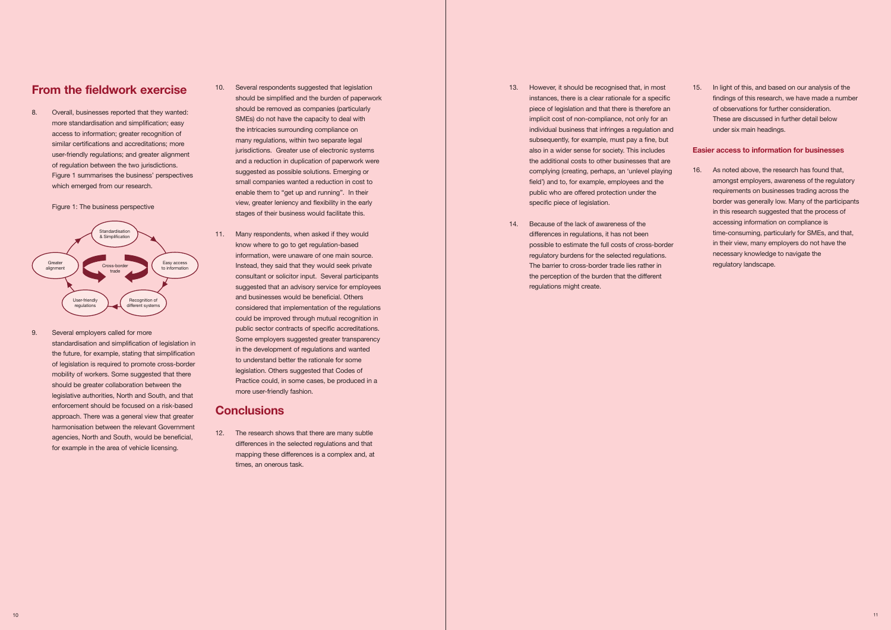# **From the fieldwork exercise**

 more standardisation and simplification; easy similar certifications and accreditations; more 8. Overall, businesses reported that they wanted: access to information; greater recognition of user-friendly regulations; and greater alignment of regulation between the two jurisdictions. Figure 1 summarises the business' perspectives which emerged from our research.

Figure 1: The business perspective



 9. Several employers called for more of legislation is required to promote cross-border legislative authorities, North and South, and that enforcement should be focused on a risk-based approach. There was a general view that greater harmonisation between the relevant Government agencies, North and South, would be beneficial, standardisation and simplification of legislation in the future, for example, stating that simplification mobility of workers. Some suggested that there should be greater collaboration between the for example in the area of vehicle licensing.

- 10. Several respondents suggested that legislation 13. However, it should be recognised that, in most SMEs) do not have the capacity to deal with suggested as possible solutions. Emerging or small companies wanted a reduction in cost to enable them to "get up and running". In their public who are offered protection under the public who are offered protection under the view, greater leniency and flexibility in the early specific piece of legislation. jurisdictions. Greater use of electronic systems stages of their business would facilitate this.
- know where to go to get regulation-based information, were unaware of one main source. suggested that an advisory service for employees regulations might create. could be improved through mutual recognition in public sector contracts of specific accreditations. Some employers suggested greater transparency to understand better the rationale for some Practice could, in some cases, be produced in a 11. Many respondents, when asked if they would consultant or solicitor input. Several participants and businesses would be beneficial. Others considered that implementation of the regulations in the development of regulations and wanted legislation. Others suggested that Codes of more user-friendly fashion.

 differences in the selected regulations and that times, an onerous task. 12. The research shows that there are many subtle mapping these differences is a complex and, at

- However, it should be recognised that, in most should be removed as companies (particularly piece of legislation and that there is therefore an SMEs) do not have the capacity to deal with implicit cost of non-compliance, not only for an the intricacies surrounding compliance on individual business that infringes a regulation and individual business that infringes a regulation and many regulations, within two separate legal subsequently, for example, must pay a fine, but also in a wider sense for society. This includes public who are offered protection under the should be simplified and the burden of paperwork instances, there is a clear rationale for a specific and a reduction in duplication of paperwork were the additional costs to other businesses that are complying (creating, perhaps, an 'unlevel playing field') and to, for example, employees and the
- 14. Because of the lack of awareness of the differences in regulations, it has not been know where to go to get regulation-based possible to estimate the full costs of cross-border information, were unaware of one main source. The contractions of the selected regulations information, were unaware of one main source. The barrier to cross-border trade lies rather in the perception of the burden that the different Instead, they said that they would seek private The The barrier to cross-border trade lies rather in

 15. In light of this, and based on our analysis of the findings of this research, we have made a number of observations for further consideration. These are discussed in further detail below under six main headings.

 16. As noted above, the research has found that, requirements on businesses trading across the border was generally low. Many of the participants in their view, many employers do not have the amongst employers, awareness of the regulatory in this research suggested that the process of accessing information on compliance is time-consuming, particularly for SMEs, and that, necessary knowledge to navigate the regulatory landscape.

# **Conclusions**

# **Easier access to information for businesses**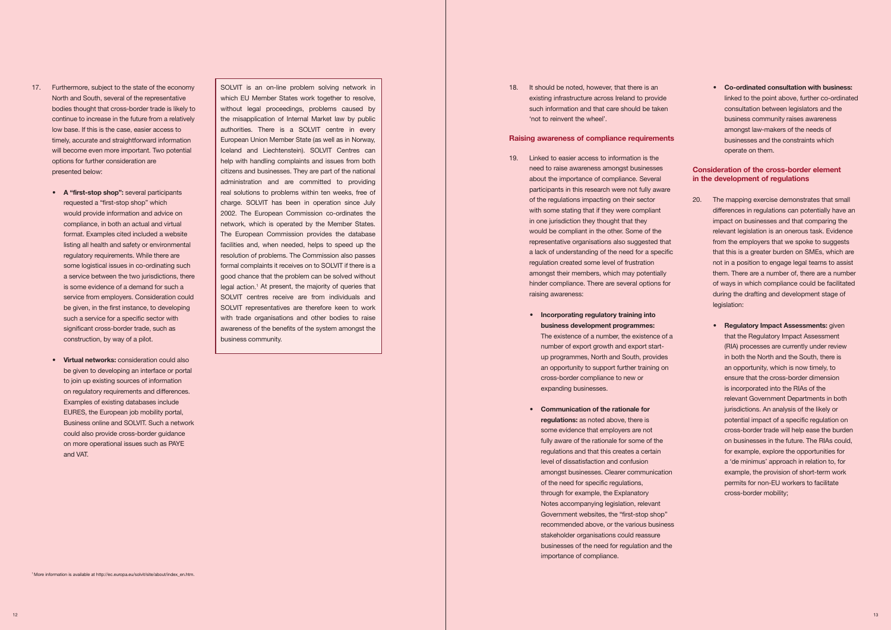- bodies thought that cross-border trade is likely to low base. If this is the case, easier access to timely, accurate and straightforward information 17. Furthermore, subject to the state of the economy North and South, several of the representative continue to increase in the future from a relatively will become even more important. Two potential options for further consideration are presented below:
	- would provide information and advice on regulatory requirements. While there are is some evidence of a demand for such a service from employers. Consideration could significant cross-border trade, such as • **A "first-stop shop":** several participants requested a "first-stop shop" which compliance, in both an actual and virtual format. Examples cited included a website listing all health and safety or environmental some logistical issues in co-ordinating such a service between the two jurisdictions, there be given, in the first instance, to developing such a service for a specific sector with construction, by way of a pilot.
	- **• Virtual networks:** consideration could also be given to developing an interface or portal to join up existing sources of information on regulatory requirements and differences. EURES, the European job mobility portal, Business online and SOLVIT. Such a network Examples of existing databases include could also provide cross-border guidance on more operational issues such as PAYE and VAT.

 SOLVIT is an on-line problem solving network in which EU Member States work together to resolve, without legal proceedings, problems caused by the misapplication of Internal Market law by public European Union Member State (as well as in Norway, help with handling complaints and issues from both citizens and businesses. They are part of the national administration and are committed to providing charge. SOLVIT has been in operation since July network, which is operated by the Member States. The European Commission provides the database facilities and, when needed, helps to speed up the resolution of problems. The Commission also passes formal complaints it receives on to SOLVIT if there is a good chance that the problem can be solved without SOLVIT centres receive are from individuals and with trade organisations and other bodies to raise awareness of the benefits of the system amongst the authorities. There is a SOLVIT centre in every Iceland and Liechtenstein). SOLVIT Centres can real solutions to problems within ten weeks, free of 2002. The European Commission co-ordinates the legal action.<sup>1</sup> At present, the majority of queries that SOLVIT representatives are therefore keen to work business community.

- participants in this research were not fully aware with some stating that if they were compliant in one jurisdiction they thought that they representative organisations also suggested that a lack of understanding of the need for a specific hinder compliance. There are several options for 19. Linked to easier access to information is the need to raise awareness amongst businesses about the importance of compliance. Several of the regulations impacting on their sector would be compliant in the other. Some of the regulation created some level of frustration amongst their members, which may potentially raising awareness:
	- **• Incorporating regulatory training into** up programmes, North and South, provides an opportunity to support further training on **business development programmes:**  The existence of a number, the existence of a number of export growth and export startcross-border compliance to new or expanding businesses.
	- **• Communication of the rationale for regulations:** as noted above, there is some evidence that employers are not regulations and that this creates a certain of the need for specific regulations, through for example, the Explanatory Notes accompanying legislation, relevant Government websites, the "first-stop shop" recommended above, or the various business stakeholder organisations could reassure businesses of the need for regulation and the importance of compliance. fully aware of the rationale for some of the level of dissatisfaction and confusion amongst businesses. Clearer communication

<sup>1</sup> More information is available at [http://ec.europa.eu/solvit/site/about/index\\_en.htm](http://ec.europa.eu/solvit/site/about/index_en.htm)

 **• Co-ordinated consultation with business:** linked to the point above, further co-ordinated consultation between legislators and the amongst law-makers of the needs of business community raises awareness businesses and the constraints which operate on them.

18. It should be noted, however, that there is an existing infrastructure across Ireland to provide such information and that care should be taken 'not to reinvent the wheel'.

# **Raising awareness of compliance requirements**

- differences in regulations can potentially have an impact on businesses and that comparing the that this is a greater burden on SMEs, which are them. There are a number of, there are a number of ways in which compliance could be facilitated 20. The mapping exercise demonstrates that small relevant legislation is an onerous task. Evidence from the employers that we spoke to suggests not in a position to engage legal teams to assist during the drafting and development stage of legislation:
	- **•** Regulatory Impact Assessments: given that the Regulatory Impact Assessment (RIA) processes are currently under review an opportunity, which is now timely, to is incorporated into the RIAs of the relevant Government Departments in both jurisdictions. An analysis of the likely or for example, explore the opportunities for a 'de minimus' approach in relation to, for in both the North and the South, there is ensure that the cross-border dimension potential impact of a specific regulation on cross-border trade will help ease the burden on businesses in the future. The RIAs could, example, the provision of short-term work permits for non-EU workers to facilitate cross-border mobility;

# **Consideration of the cross-border element in the development of regulations**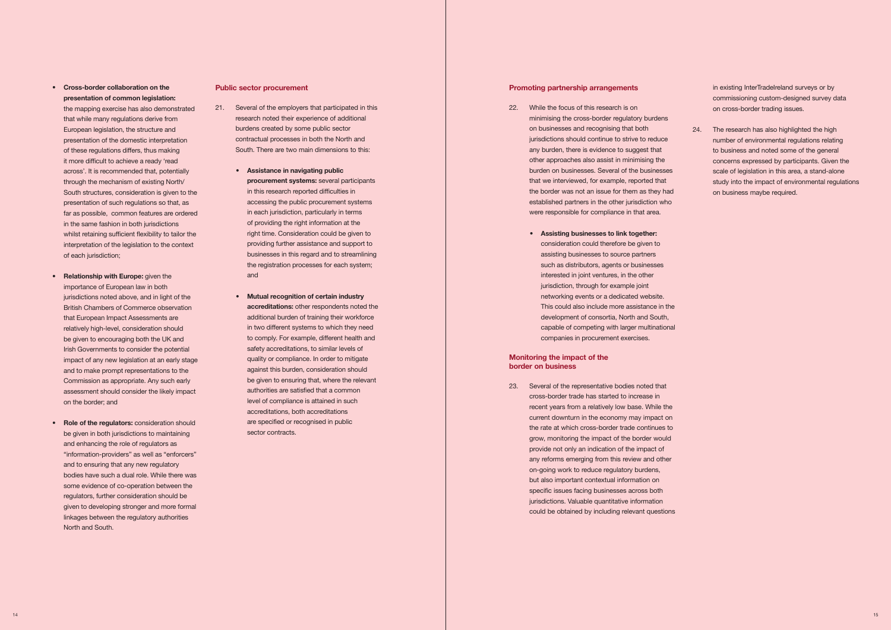- 21. Several of the employers that participated in this burdens created by some public sector contractual processes in both the North and research noted their experience of additional South. There are two main dimensions to this:
	- **• Assistance in navigating public** accessing the public procurement systems in each jurisdiction, particularly in terms right time. Consideration could be given to providing further assistance and support to businesses in this regard and to streamlining the registration processes for each system; **procurement systems:** several participants in this research reported difficulties in of providing the right information at the and
	- **• Mutual recognition of certain industry accreditations:** other respondents noted the additional burden of training their workforce in two different systems to which they need safety accreditations, to similar levels of quality or compliance. In order to mitigate be given to ensuring that, where the relevant authorities are satisfied that a common level of compliance is attained in such to comply. For example, different health and against this burden, consideration should accreditations, both accreditations are specified or recognised in public sector contracts.
- **• Cross-border collaboration on the** that while many regulations derive from European legislation, the structure and presentation of the domestic interpretation it more difficult to achieve a ready 'read South structures, consideration is given to the far as possible, common features are ordered whilst retaining sufficient flexibility to tailor the interpretation of the legislation to the context **presentation of common legislation:**  the mapping exercise has also demonstrated of these regulations differs, thus making across'. It is recommended that, potentially through the mechanism of existing North/ presentation of such regulations so that, as in the same fashion in both jurisdictions of each jurisdiction;
- **• Relationship with Europe:** given the importance of European law in both British Chambers of Commerce observation that European Impact Assessments are relatively high-level, consideration should be given to encouraging both the UK and Irish Governments to consider the potential impact of any new legislation at an early stage jurisdictions noted above, and in light of the and to make prompt representations to the Commission as appropriate. Any such early assessment should consider the likely impact on the border; and
- **•** Role of the regulators: consideration should be given in both jurisdictions to maintaining and enhancing the role of regulators as and to ensuring that any new regulatory bodies have such a dual role. While there was regulators, further consideration should be linkages between the regulatory authorities "information-providers" as well as "enforcers" some evidence of co-operation between the given to developing stronger and more formal North and South.

# **Public sector procurement**

- $22.$  any burden, there is evidence to suggest that burden on businesses. Several of the businesses that we interviewed, for example, reported that the border was not an issue for them as they had established partners in the other jurisdiction who While the focus of this research is on minimising the cross-border regulatory burdens on businesses and recognising that both jurisdictions should continue to strive to reduce other approaches also assist in minimising the were responsible for compliance in that area.
	- assisting businesses to source partners such as distributors, agents or businesses interested in joint ventures, in the other jurisdiction, through for example joint development of consortia, North and South, • **Assisting businesses to link together:**  consideration could therefore be given to networking events or a dedicated website. This could also include more assistance in the capable of competing with larger multinational companies in procurement exercises.

 $23.$  cross-border trade has started to increase in recent years from a relatively low base. While the current downturn in the economy may impact on grow, monitoring the impact of the border would provide not only an indication of the impact of any reforms emerging from this review and other on-going work to reduce regulatory burdens, jurisdictions. Valuable quantitative information Several of the representative bodies noted that the rate at which cross-border trade continues to but also important contextual information on specific issues facing businesses across both could be obtained by including relevant questions

 scale of legislation in this area, a stand-alone study into the impact of environmental regulations 24. The research has also highlighted the high number of environmental regulations relating to business and noted some of the general concerns expressed by participants. Given the on business maybe required.

## **Promoting partnership arrangements**

# **Monitoring the impact of the border on business**

in existing InterTradeIreland surveys or by commissioning custom-designed survey data on cross-border trading issues.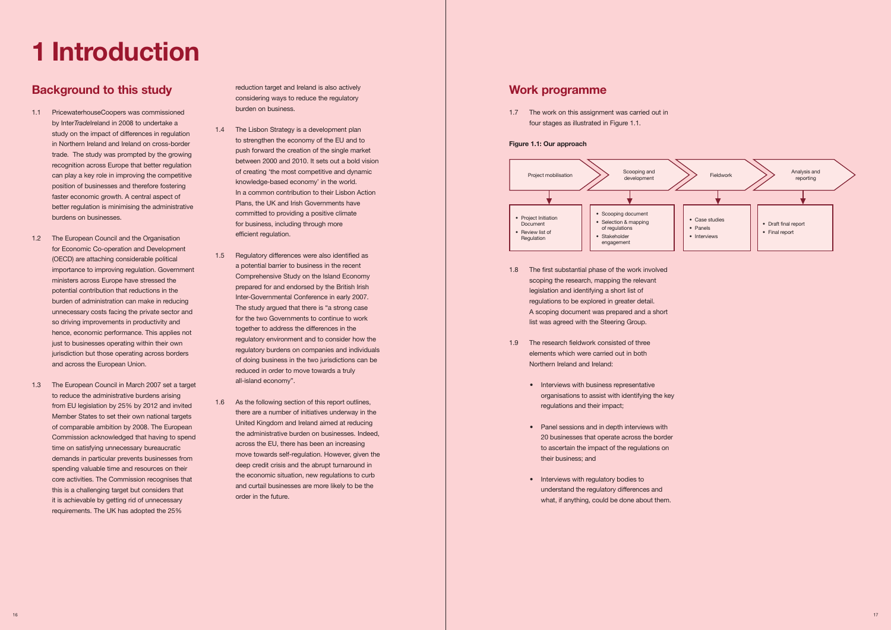# **1 Introduction**

# **Background to this study**

- 1.1 PricewaterhouseCoopers was commissioned study on the impact of differences in regulation in Northern Ireland and Ireland on cross-border trade. The study was prompted by the growing can play a key role in improving the competitive position of businesses and therefore fostering faster economic growth. A central aspect of by Inter*Trade*Ireland in 2008 to undertake a recognition across Europe that better regulation better regulation is minimising the administrative burdens on businesses.
- (OECD) are attaching considerable political burden of administration can make in reducing unnecessary costs facing the private sector and hence, economic performance. This applies not just to businesses operating within their own 1.2 The European Council and the Organisation for Economic Co-operation and Development importance to improving regulation. Government ministers across Europe have stressed the potential contribution that reductions in the so driving improvements in productivity and jurisdiction but those operating across borders and across the European Union.
- 1.3 The European Council in March 2007 set a target Member States to set their own national targets time on satisfying unnecessary bureaucratic spending valuable time and resources on their core activities. The Commission recognises that this is a challenging target but considers that requirements. The UK has adopted the 25% to reduce the administrative burdens arising from EU legislation by 25% by 2012 and invited of comparable ambition by 2008. The European Commission acknowledged that having to spend demands in particular prevents businesses from it is achievable by getting rid of unnecessary

 reduction target and Ireland is also actively considering ways to reduce the regulatory burden on business.

- 1.4 The Lisbon Strategy is a development plan to strengthen the economy of the EU and to between 2000 and 2010. It sets out a bold vision of creating 'the most competitive and dynamic Plans, the UK and Irish Governments have push forward the creation of the single market knowledge-based economy' in the world. In a common contribution to their Lisbon Action committed to providing a positive climate for business, including through more efficient regulation.
- a potential barrier to business in the recent for the two Governments to continue to work together to address the differences in the 1.5 Regulatory differences were also identified as Comprehensive Study on the Island Economy prepared for and endorsed by the British Irish Inter-Governmental Conference in early 2007. The study argued that there is "a strong case regulatory environment and to consider how the regulatory burdens on companies and individuals of doing business in the two jurisdictions can be reduced in order to move towards a truly all-island economy".
- 1.6 As the following section of this report outlines, the administrative burden on businesses. Indeed, across the EU, there has been an increasing deep credit crisis and the abrupt turnaround in the economic situation, new regulations to curb and curtail businesses are more likely to be the there are a number of initiatives underway in the United Kingdom and Ireland aimed at reducing move towards self-regulation. However, given the order in the future.

 1.7 The work on this assignment was carried out in four stages as illustrated in Figure 1.1.

- scoping the research, mapping the relevant legislation and identifying a short list of 1.8 The first substantial phase of the work involved regulations to be explored in greater detail. A scoping document was prepared and a short list was agreed with the Steering Group.
- elements which were carried out in both 1.9 The research fieldwork consisted of three Northern Ireland and Ireland:
	- Interviews with business representative organisations to assist with identifying the key regulations and their impact;
	- Panel sessions and in depth interviews with to ascertain the impact of the regulations on 20 businesses that operate across the border their business; and
	- Interviews with regulatory bodies to understand the regulatory differences and what, if anything, could be done about them.



# **Work programme**

# **Figure 1.1: Our approach**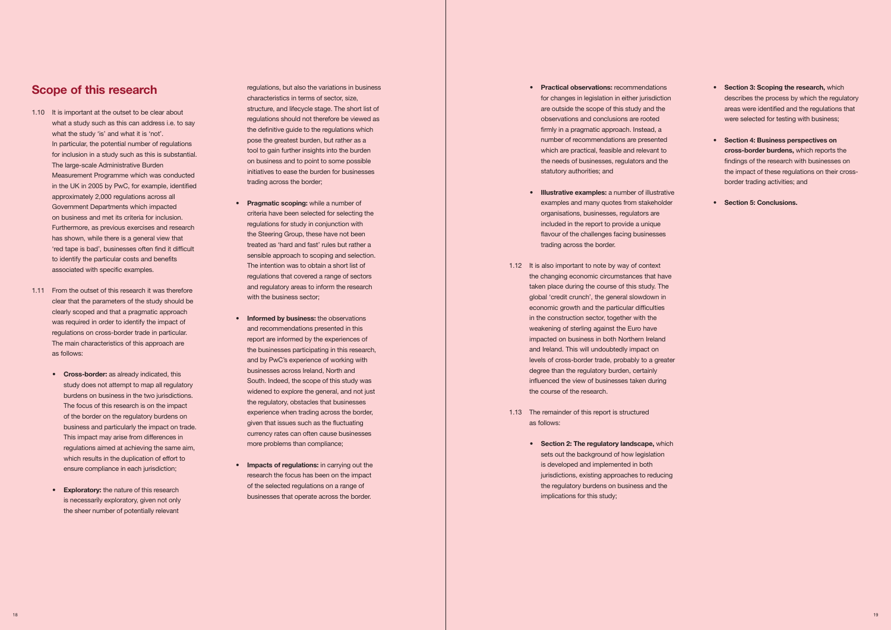- **• Pragmatic scoping:** while a number of criteria have been selected for selecting the the Steering Group, these have not been treated as 'hard and fast' rules but rather a trading across the border. The trading across the border. sensible approach to scoping and selection. The intention was to obtain a short list of regulations that covered a range of sectors and regulatory areas to inform the research
- and recommendations presented in this and by PwC's experience of working with businesses across Ireland, North and South. Indeed, the scope of this study was experience when trading across the border, widened to explore the general, and not just the course of the research. the regulatory, obstacles that businesses given that issues such as the fluctuating as follows: as follows: as follows: currency rates can often cause businesses
- **•** Impacts of regulations: in carrying out the research the focus has been on the impact businesses that operate across the border. in the border of this study; the border of this study; the border of this study;

# **Scope of this research**

- for inclusion in a study such as this is substantial. The large-scale Administrative Burden approximately 2,000 regulations across all Government Departments which impacted on business and met its criteria for inclusion. has shown, while there is a general view that 'red tape is bad', businesses often find it difficult to identify the particular costs and benefits 1.10 It is important at the outset to be clear about what a study such as this can address i.e. to say what the study 'is' and what it is 'not'. In particular, the potential number of regulations Measurement Programme which was conducted in the UK in 2005 by PwC, for example, identified Furthermore, as previous exercises and research associated with specific examples.
- 1.11 From the outset of this research it was therefore clear that the parameters of the study should be was required in order to identify the impact of regulations on cross-border trade in particular. clearly scoped and that a pragmatic approach The main characteristics of this approach are as follows:
	- burdens on business in the two jurisdictions. The focus of this research is on the impact of the border on the regulatory burdens on which results in the duplication of effort to **• Cross-border:** as already indicated, this study does not attempt to map all regulatory business and particularly the impact on trade. This impact may arise from differences in regulations aimed at achieving the same aim, ensure compliance in each jurisdiction;
	- **• Exploratory:** the nature of this research is necessarily exploratory, given not only the sheer number of potentially relevant

 regulations, but also the variations in business **• Practical observations:** recommendations **• Section 3: Scoping the research,** which the definitive guide to the regulations which tool to gain further insights into the burden initiatives to ease the burden for businesses pose the greatest burden, but rather as a trading across the border;

- Section 3: Scoping the research, which characteristics in terms of sector, size, **for any of the sector of changes** in legislation in either jurisdiction describes the process by which the regulatory structure, and lifecycle stage. The short list of are are are are outside the scope of this study and the areas were identified and the regulations that
- **• Section 4: Business perspectives on cross-border burdens,** which reports the initiatives to ease the burden for businesses statutor and the impact of these regulations on their crossborder trading activities; and
	- **• Section 5: Conclusions.**
- are outside the scope of this study and the observations and conclusions are rooted firmly in a pragmatic approach. Instead, a number of recommendations are presented which are practical, feasible and relevant to the needs of businesses, regulators and the on business and to point to some possible the needs of businesses, regulators and the findings of the research with businesses on regulations should not therefore be viewed as observations and conclusions are rooted were selected for testing with business;
- **• Illustrative examples:** a number of illustrative regulations for study in conjunction with included in the report to provide a unique included in the report to provide a unique the Steering Group, these have not been flavour of the challenges facing businesses facing businesses examples and many quotes from stakeholder organisations, businesses, regulators are
- The intention was to obtain a short list of 1.12 It is also important to note by way of context and regulatory areas to inform the research taken place during the course of this study. The with the business sector; with the business sector; global 'credit crunch', the general slowdown in in the construction sector, together with the and recommendations presented in this weakening of sterling against the Euro have report are informed by the experiences of impacted on business in both Northern Ireland and by PwC's experience of working with levels of cross-border trade, probably to a greater **• Informed by business:** the observations in the construction sector, together with the the changing economic circumstances that have economic growth and the particular difficulties the businesses participating in this research, and Ireland. This will undoubtedly impact on degree than the regulatory burden, certainly influenced the view of businesses taken during
	- 1.13 The remainder of this report is structured
	- **The regulatory landscape, which compliance; <b>• • Section 2: The regulatory landscape,** which sets out the background of how legislation is developed and implemented in both of the selected regulations on a range of the regulatory burdens on business and the jurisdictions, existing approaches to reducing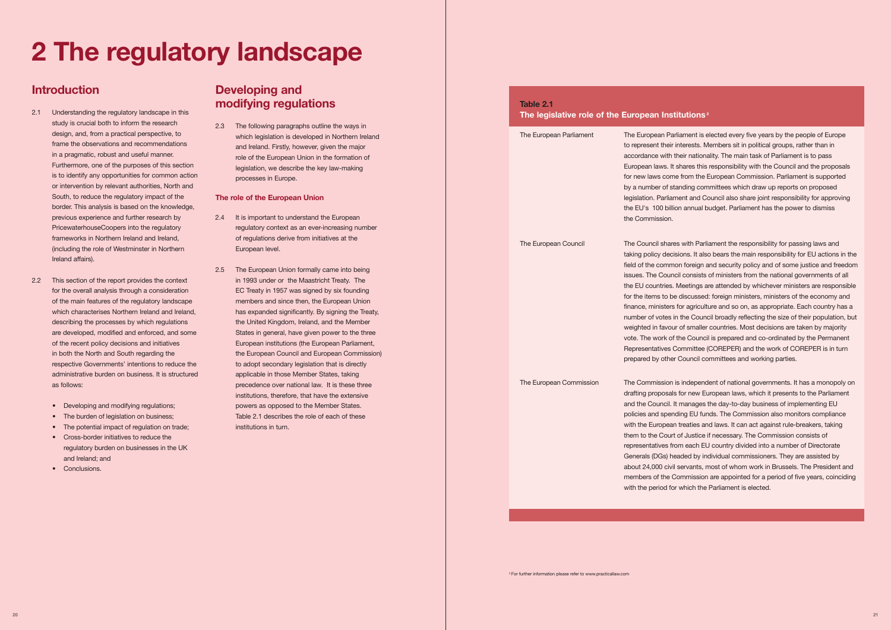design, and, from a practical perspective, to which legislation is developed in Northern Ireland Furthermore, one of the purposes of this section<br>legislation, we describe the key law-making and Ireland. Firstly, however, given the major in a pragmatic, robust and useful manner.<br>The role of the European Union in the formation of

- PricewaterhouseCoopers into the regulatory regulatory context as an ever-increasing number
- for the overall analysis through a consideration EC Treaty in 1957 was signed by six founding of the main features of the regulatory landscape members and since then, the European Union • The burden of legislation on business; Table 2.1 describes the role of each of these 2.5 The European Union formally came into being in 1993 under or the Maastricht Treaty. The members and since then, the European Union which characterises Northern Ireland and Ireland, has expanded significantly. By signing the Treaty, describing the processes by which regulations the United Kingdom, Ireland, and the Member States in general, have given power to the three of the recent policy decisions and initiatives European institutions (the European Parliament, in both the North and South regarding the the European Council and European Commission) to adopt secondary legislation that is directly as follows: precedence over national law. It is these three institutions, therefore, that have the extensive powers as opposed to the Member States.

# **Introduction Developing and modifying regulations**

# **2 The regulatory landscape**

- design, and, from a practical perspective, to frame the observations and recommendations Furthermore, one of the purposes of this section is to identify any opportunities for common action processes in Europe. or intervention by relevant authorities, North and South, to reduce the regulatory impact of the **The role of the European Union**  border. This analysis is based on the knowledge, PricewaterhouseCoopers into the regulatory frameworks in Northern Ireland and Ireland. study is crucial both to inform the research 2.3 The following paragraphs outline the ways in frameworks in Northern Ireland and Ireland, of regulations derive from initiatives at the 2.1 Understanding the regulatory landscape in this previous experience and further research by 2.4 It is important to understand the European (including the role of Westminster in Northern European level.<br>Ireland affairs).
- $22$ which characterises Northern Ireland and Ireland, administrative burden on business. It is structured administrative burden on business. It is structured applicable in those Member States, taking This section of the report provides the context are developed, modified and enforced, and some respective Governments' intentions to reduce the
	- Developing and modifying regulations:
	-
	- The potential impact of regulation on trade; institutions in turn.
	- Cross-border initiatives to reduce the regulatory burden on businesses in the UK and Ireland; and
	- • Conclusions.

 The European Parliament The European Parliament is elected every five years by the people of Europe accordance with their nationality. The main task of Parliament is to pass European laws. It shares this responsibility with the Council and the proposals for new laws come from the European Commission. Parliament is supported by a number of standing committees which draw up reports on proposed to represent their interests. Members sit in political groups, rather than in legislation. Parliament and Council also share joint responsibility for approving the EU's €00 billion annual budget. Parliament has the power to dismiss the Commission.

 taking policy decisions. It also bears the main responsibility for EU actions in the field of the common foreign and security policy and of some justice and freedom issues. The Council consists of ministers from the national governments of all the EU countries. Meetings are attended by whichever ministers are responsible The European Council The Council shares with Parliament the responsibility for passing laws and for the items to be discussed: foreign ministers, ministers of the economy and finance, ministers for agriculture and so on, as appropriate. Each country has a number of votes in the Council broadly reflecting the size of their population, but weighted in favour of smaller countries. Most decisions are taken by majority vote. The work of the Council is prepared and co-ordinated by the Permanent Representatives Committee (COREPER) and the work of COREPER is in turn prepared by other Council committees and working parties.

 and the Council. It manages the day-to-day business of implementing EU representatives from each EU country divided into a number of Directorate about 24,000 civil servants, most of whom work in Brussels. The President and The European Commission The Commission is independent of national governments. It has a monopoly on drafting proposals for new European laws, which it presents to the Parliament policies and spending EU funds. The Commission also monitors compliance with the European treaties and laws. It can act against rule-breakers, taking them to the Court of Justice if necessary. The Commission consists of Generals (DGs) headed by individual commissioners. They are assisted by members of the Commission are appointed for a period of five years, coinciding with the period for which the Parliament is elected.

# **Table 2.1 The legislative role of the European Institutions 2**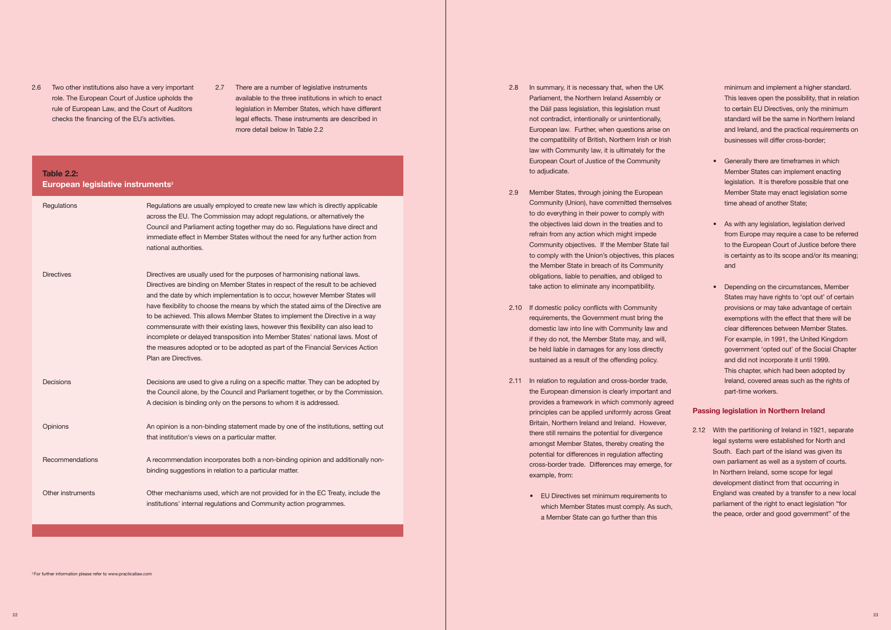- 2.6 Two other institutions also have a very important 2.7 There are a number of legislative instruments role. The European Court of Justice upholds the rule of European Law, and the Court of Auditors
	- role. The European Court of Justice upholds the and available to the three institutions in which to enact rule of European Law, and the Court of Auditors legislation in Member States, which have different checks the financing of the EU's activities. legal effects. These instruments are described in more detail below In Table 2.2

# **Table 2.2: European legislative instruments3**

| Regulations       | Regulations are usually employed to create new law which is directly applicable<br>across the EU. The Commission may adopt regulations, or alternatively the<br>Council and Parliament acting together may do so. Regulations have direct and<br>immediate effect in Member States without the need for any further action from<br>national authorities.                                                                                                                                                                                                                                                                                                                                             |
|-------------------|------------------------------------------------------------------------------------------------------------------------------------------------------------------------------------------------------------------------------------------------------------------------------------------------------------------------------------------------------------------------------------------------------------------------------------------------------------------------------------------------------------------------------------------------------------------------------------------------------------------------------------------------------------------------------------------------------|
| <b>Directives</b> | Directives are usually used for the purposes of harmonising national laws.<br>Directives are binding on Member States in respect of the result to be achieved<br>and the date by which implementation is to occur, however Member States will<br>have flexibility to choose the means by which the stated aims of the Directive are<br>to be achieved. This allows Member States to implement the Directive in a way<br>commensurate with their existing laws, however this flexibility can also lead to<br>incomplete or delayed transposition into Member States' national laws. Most of<br>the measures adopted or to be adopted as part of the Financial Services Action<br>Plan are Directives. |
| Decisions         | Decisions are used to give a ruling on a specific matter. They can be adopted by<br>the Council alone, by the Council and Parliament together, or by the Commission.<br>A decision is binding only on the persons to whom it is addressed.                                                                                                                                                                                                                                                                                                                                                                                                                                                           |
| Opinions          | An opinion is a non-binding statement made by one of the institutions, setting out<br>that institution's views on a particular matter.                                                                                                                                                                                                                                                                                                                                                                                                                                                                                                                                                               |
| Recommendations   | A recommendation incorporates both a non-binding opinion and additionally non-<br>binding suggestions in relation to a particular matter.                                                                                                                                                                                                                                                                                                                                                                                                                                                                                                                                                            |
| Other instruments | Other mechanisms used, which are not provided for in the EC Treaty, include the<br>institutions' internal regulations and Community action programmes.                                                                                                                                                                                                                                                                                                                                                                                                                                                                                                                                               |

- the Dáil pass legislation, this legislation must European law. Further, when questions arise on the compatibility of British, Northern Irish or Irish law with Community law, it is ultimately for the 2.8 In summary, it is necessary that, when the UK Parliament, the Northern Ireland Assembly or not contradict, intentionally or unintentionally, European Court of Justice of the Community to adjudicate.
- the objectives laid down in the treaties and to refrain from any action which might impede Community objectives. If the Member State fail to comply with the Union's objectives, this places the Member State in breach of its Community obligations, liable to penalties, and obliged to 2.9 Member States, through joining the European Community (Union), have committed themselves to do everything in their power to comply with take action to eliminate any incompatibility.
- domestic law into line with Community law and if they do not, the Member State may, and will, be held liable in damages for any loss directly 2.10 If domestic policy conflicts with Community requirements, the Government must bring the sustained as a result of the offending policy.
- 2.11 In relation to regulation and cross-border trade, the European dimension is clearly important and provides a framework in which commonly agreed principles can be applied uniformly across Great Britain, Northern Ireland and Ireland. However, there still remains the potential for divergence potential for differences in regulation affecting cross-border trade. Differences may emerge, for amongst Member States, thereby creating the example, from:
	- EU Directives set minimum requirements to a Member State can go further than this which Member States must comply. As such,

<sup>3</sup> For further information please refer to www.practicallaw.com

 minimum and implement a higher standard. This leaves open the possibility, that in relation to certain EU Directives, only the minimum standard will be the same in Northern Ireland and Ireland, and the practical requirements on businesses will differ cross-border;

- Generally there are timeframes in which Member States can implement enacting legislation. It is therefore possible that one Member State may enact legislation some time ahead of another State;
- As with any legislation, legislation derived from Europe may require a case to be referred to the European Court of Justice before there is certainty as to its scope and/or its meaning; and
- Depending on the circumstances, Member provisions or may take advantage of certain exemptions with the effect that there will be clear differences between Member States. For example, in 1991, the United Kingdom and did not incorporate it until 1999. States may have rights to 'opt out' of certain government 'opted out' of the Social Chapter This chapter, which had been adopted by Ireland, covered areas such as the rights of part-time workers.

 South. Each part of the island was given its own parliament as well as a system of courts. England was created by a transfer to a new local 2.12 With the partitioning of Ireland in 1921, separate legal systems were established for North and In Northern Ireland, some scope for legal development distinct from that occurring in parliament of the right to enact legislation "for the peace, order and good government" of the

# **Passing legislation in Northern Ireland**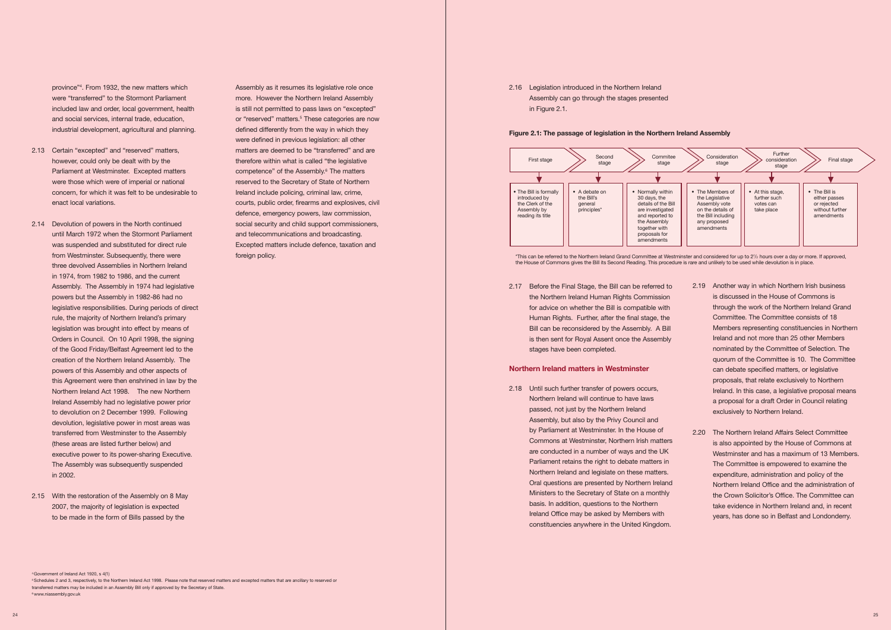province"4 . From 1932, the new matters which were "transferred" to the Stormont Parliament included law and order, local government, health and social services, internal trade, education, industrial development, agricultural and planning.

- 2.13 Certain "excepted" and "reserved" matters, however, could only be dealt with by the were those which were of imperial or national concern, for which it was felt to be undesirable to enact local variations. Parliament at Westminster. Excepted matters
- 2.14 Devolution of powers in the North continued until March 1972 when the Stormont Parliament was suspended and substituted for direct rule from Westminster. Subsequently, there were in 1974, from 1982 to 1986, and the current Assembly. The Assembly in 1974 had legislative legislative responsibilities. During periods of direct rule, the majority of Northern Ireland's primary legislation was brought into effect by means of of the Good Friday/Belfast Agreement led to the creation of the Northern Ireland Assembly. The this Agreement were then enshrined in law by the Northern Ireland Act 1998. The new Northern Ireland Assembly had no legislative power prior to devolution on 2 December 1999. Following devolution, legislative power in most areas was (these areas are listed further below) and executive power to its power-sharing Executive. three devolved Assemblies in Northern Ireland powers but the Assembly in 1982-86 had no Orders in Council. On 10 April 1998, the signing powers of this Assembly and other aspects of transferred from Westminster to the Assembly The Assembly was subsequently suspended in 2002. foreign policy.<br>
form Westminters: Subsequently, there were also the Northern Ireland<br>
in 1974, from 1982 to 1986, and the current<br>
Assembly in 1974-286 had no<br>
polystate respectibilities. During periods of direct<br>
rule, t
- 2.15 With the restoration of the Assembly on 8 May 2007, the majority of legislation is expected to be made in the form of Bills passed by the

 Assembly as it resumes its legislative role once or "reserved" matters.<sup>5</sup> These categories are now were defined in previous legislation: all other therefore within what is called "the legislative defence, emergency powers, law commission, social security and child support commissioners, and telecommunications and broadcasting. foreign policy. more. However the Northern Ireland Assembly is still not permitted to pass laws on "excepted" defined differently from the way in which they matters are deemed to be "transferred" and are competence" of the Assembly.<sup>6</sup> The matters reserved to the Secretary of State of Northern Ireland include policing, criminal law, crime, courts, public order, firearms and explosives, civil Excepted matters include defence, taxation and

4 Government of Ireland Act 1920, s 4(1)

<sup>5</sup> Schedules 2 and 3, respectively, to the Northern Ireland Act 1998. Please note that reserved matters and excepted matters that are ancillary to reserved or transferred matters may be included in an Assembly Bill only if approved by the Secretary of State. 6 www.niassembly.gov.uk to be made in the form of Bills passed by the<br>constituencies anywhere in the United Kingdom,<br><sup>0</sup>Owerward Newto Ad 1970, and the form and the sole of Belfast and Londonderry.<br><sup>25 25</sup> 25 25 25 26 26 26 26 26 26 26 26 26 26 2



 2.17 Before the Final Stage, the Bill can be referred to Human Rights. Further, after the final stage, the Bill can be reconsidered by the Assembly. A Bill is then sent for Royal Assent once the Assembly the Northern Ireland Human Rights Commission for advice on whether the Bill is compatible with stages have been completed.

 2.18 Until such further transfer of powers occurs, Northern Ireland will continue to have laws passed, not just by the Northern Ireland Assembly, but also by the Privy Council and by Parliament at Westminster. In the House of Northern Ireland and legislate on these matters. Oral questions are presented by Northern Ireland Ministers to the Secretary of State on a monthly basis. In addition, questions to the Northern Ireland Office may be asked by Members with constituencies anywhere in the United Kingdom. Commons at Westminster, Northern Irish matters are conducted in a number of ways and the UK Parliament retains the right to debate matters in



- Members representing constituencies in Northern Ireland and not more than 25 other Members quorum of the Committee is 10. The Committee Ireland. In this case, a legislative proposal means a proposal for a draft Order in Council relating 2.19 Another way in which Northern Irish business is discussed in the House of Commons is through the work of the Northern Ireland Grand Committee. The Committee consists of 18 nominated by the Committee of Selection. The can debate specified matters, or legislative proposals, that relate exclusively to Northern exclusively to Northern Ireland.
- the Crown Solicitor's Office. The Committee can take evidence in Northern Ireland and, in recent years, has done so in Belfast and Londonderry. 2.20 The Northern Ireland Affairs Select Committee is also appointed by the House of Commons at Westminster and has a maximum of 13 Members. The Committee is empowered to examine the expenditure, administration and policy of the Northern Ireland Office and the administration of

2.16 Legislation introduced in the Northern Ireland Assembly can go through the stages presented in Figure 2.1.

### **Figure 2.1: The passage of legislation in the Northern Ireland Assembly**

\*This can be referred to the Northern Ireland Grand Committee at Westminster and considered for up to 21 /2 hours over a day or more. If approved, the House of Commons gives the Bill its Second Reading. This procedure is rare and unlikely to be used while devolution is in place.

# **Northern Ireland matters in Westminster**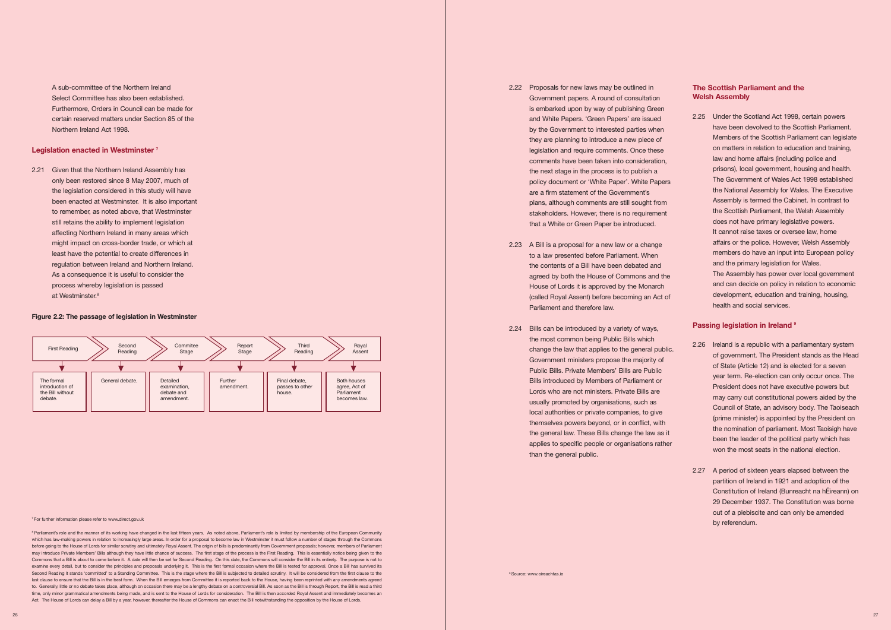the legislation considered in this study will have been enacted at Westminster. It is also important to remember, as noted above, that Westminster still retains the ability to implement legislation might impact on cross-border trade, or which at regulation between Ireland and Northern Ireland. As a consequence it is useful to consider the 2.21 Given that the Northern Ireland Assembly has only been restored since 8 May 2007, much of affecting Northern Ireland in many areas which least have the potential to create differences in process whereby legislation is passed at Westminster.<sup>8</sup>

 Select Committee has also been established. certain reserved matters under Section 85 of the A sub-committee of the Northern Ireland Furthermore, Orders in Council can be made for Northern Ireland Act 1998.

# **Legislation enacted in Westminster 7**



### **Figure 2.2: The passage of legislation in Westminster**

7 For further information please refer to<www.direct.gov.uk>

<sup>8</sup> Parliament's role and the manner of its working have changed in the last fifteen years. As noted above, Parliament's role is limited by membership of the European Community which has law-making powers in relation to increasingly large areas. In order for a proposal to become law in Westminster it must follow a number of stages through the Commons before going to the House of Lords for similar scrutiny and ultimately Royal Assent. The origin of bills is predominantly from Government proposals; however, members of Parliament may introduce Private Members' Bills although they have little chance of success. The first stage of the process is the First Reading. This is essentially notice being given to the Commons that a Bill is about to come before it. A date will then be set for Second Reading. On this date, the Commons will consider the Bill in its entirety. The purpose is not to examine every detail, but to consider the principles and proposals underlying it. This is the first formal occasion where the Bill is tested for approval. Once a Bill has survived its Second Reading it stands 'committed' to a Standing Committee. This is the stage where the Bill is subjected to detailed scrutiny. It will be considered from the first clause to the last clause to ensure that the Bill is in the best form. When the Bill emerges from Committee it is reported back to the House, having been reprinted with any amendments agreed Act. The House of Lords can delay a Bill by a year, however, thereafter the House of Commons can enact the Bill notwithstanding the opposition by the House of Lords. to. Generally, little or no debate takes place, although on occasion there may be a lengthy debate on a controversial Bill. As soon as the Bill is through Report, the Bill is read a third time, only minor grammatical amendments being made, and is sent to the House of Lords for consideration. The Bill is then accorded Royal Assent and immediately becomes an

- is embarked upon by way of publishing Green and White Papers. 'Green Papers' are issued they are planning to introduce a new piece of comments have been taken into consideration, the next stage in the process is to publish a are a firm statement of the Government's stakeholders. However, there is no requirement 2.22 Proposals for new laws may be outlined in Government papers. A round of consultation by the Government to interested parties when legislation and require comments. Once these policy document or 'White Paper'. White Papers plans, although comments are still sought from that a White or Green Paper be introduced.
- 2.23 A Bill is a proposal for a new law or a change to a law presented before Parliament. When agreed by both the House of Commons and the (called Royal Assent) before becoming an Act of the contents of a Bill have been debated and House of Lords it is approved by the Monarch Parliament and therefore law.
- 2.24 Bills can be introduced by a variety of ways, the most common being Public Bills which change the law that applies to the general public. Public Bills. Private Members' Bills are Public local authorities or private companies, to give applies to specific people or organisations rather Government ministers propose the majority of Bills introduced by Members of Parliament or Lords who are not ministers. Private Bills are usually promoted by organisations, such as themselves powers beyond, or in conflict, with the general law. These Bills change the law as it than the general public.

 2.25 Under the Scotland Act 1998, certain powers Members of the Scottish Parliament can legislate law and home affairs (including police and prisons), local government, housing and health. members do have an input into European policy and can decide on policy in relation to economic development, education and training, housing, have been devolved to the Scottish Parliament. on matters in relation to education and training, The Government of Wales Act 1998 established the National Assembly for Wales. The Executive Assembly is termed the Cabinet. In contrast to the Scottish Parliament, the Welsh Assembly does not have primary legislative powers. It cannot raise taxes or oversee law, home affairs or the police. However, Welsh Assembly and the primary legislation for Wales. The Assembly has power over local government health and social services.

- 2.26 Ireland is a republic with a parliamentary system of government. The President stands as the Head of State (Article 12) and is elected for a seven year term. Re-election can only occur once. The may carry out constitutional powers aided by the the nomination of parliament. Most Taoisigh have been the leader of the political party which has President does not have executive powers but Council of State, an advisory body. The Taoiseach (prime minister) is appointed by the President on won the most seats in the national election.
- 2.27 A period of sixteen years elapsed between the partition of Ireland in 1921 and adoption of the Constitution of Ireland (Bunreacht na hÉireann) on 29 December 1937. The Constitution was borne out of a plebiscite and can only be amended by referendum.

# **The Scottish Parliament and the Welsh Assembly**

# **Passing legislation in Ireland 9**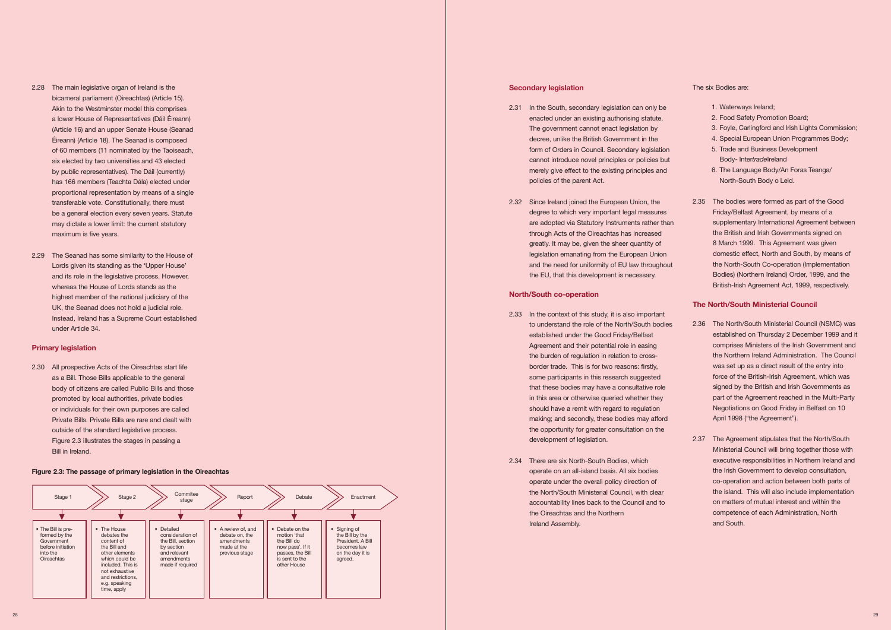- bicameral parliament (Oireachtas) (Article 15). a lower House of Representatives (Dáil Éireann) Éireann) (Article 18). The Seanad is composed of 60 members (11 nominated by the Taoiseach, by public representatives). The Dáil (currently) proportional representation by means of a single transferable vote. Constitutionally, there must be a general election every seven years. Statute may dictate a lower limit: the current statutory maximum is five years. 2.28 The main legislative organ of Ireland is the Akin to the Westminster model this comprises (Article 16) and an upper Senate House (Seanad six elected by two universities and 43 elected has 166 members (Teachta Dála) elected under
- 2.29 The Seanad has some similarity to the House of Lords given its standing as the 'Upper House' whereas the House of Lords stands as the highest member of the national judiciary of the UK, the Seanad does not hold a judicial role. Instead, Ireland has a Supreme Court established under Article 34. and its role in the legislative process. However,

 2.30 All prospective Acts of the Oireachtas start life as a Bill. Those Bills applicable to the general body of citizens are called Public Bills and those or individuals for their own purposes are called promoted by local authorities, private bodies Private Bills. Private Bills are rare and dealt with outside of the standard legislative process. Figure 2.3 illustrates the stages in passing a Bill in Ireland.

## **Primary legislation**

| Stage 1                                                                                                 | Stage 2                                                                                                                                                                                  | Commitee<br>stage                                                                                                   | Report                                                                              | Debate                                                                                                                  | Enactment                                                                                          |
|---------------------------------------------------------------------------------------------------------|------------------------------------------------------------------------------------------------------------------------------------------------------------------------------------------|---------------------------------------------------------------------------------------------------------------------|-------------------------------------------------------------------------------------|-------------------------------------------------------------------------------------------------------------------------|----------------------------------------------------------------------------------------------------|
| • The Bill is pre-<br>formed by the<br>Government<br>before initiation<br>into the<br><b>Oireachtas</b> | • The House<br>debates the<br>content of<br>the Bill and<br>other elements<br>which could be<br>included. This is<br>not exhaustive<br>and restrictions.<br>e.g. speaking<br>time, apply | • Detailed<br>consideration of<br>the Bill, section<br>by section<br>and relevant<br>amendments<br>made if required | • A review of, and<br>debate on, the<br>amendments<br>made at the<br>previous stage | • Debate on the<br>motion 'that<br>the Bill do<br>now pass'. If it<br>passes, the Bill<br>is sent to the<br>other House | • Signing of<br>the Bill by the<br>President, A Bill<br>becomes law<br>on the day it is<br>agreed. |

# **Secondary legislation Secondary legislation The six Bodies are:**

- form of Orders in Council. Secondary legislation 5. Trade and Business Development 2.31 In the South, secondary legislation can only be 1. Waterways Ireland; enacted under an existing authorising statute. 2. Food Safety Promotion Board; The government cannot enact legislation by 3. Foyle, Carlingford and Irish Lights Commission; decree, unlike the British Government in the 4. Special European Union Programmes Body; cannot introduce novel principles or policies but Body- Intertradelreland merely give effect to the existing principles and 6. The Language Body/An Foras Teanga/ policies of the parent Act. North-South Body o Leid.
- 2.32 Since Ireland joined the European Union, the are adopted via Statutory Instruments rather than through Acts of the Oireachtas has increased legislation emanating from the European Union

# **Figure 2.3: The passage of primary legislation in the Oireachtas**

- 
- 
- 
- 
- 
- 
- degree to which very important legal measures Friday/Belfast Agreement, by means of a greatly. It may be, given the sheer quantity of 8 March 1999. This Agreement was given and the need for uniformity of EU law throughout the North-South Co-operation (Implementation the EU, that this development is necessary. Bodies) (Northern Ireland) Order, 1999, and the 2.35 The bodies were formed as part of the Good supplementary International Agreement between the British and Irish Governments signed on 8 March 1999. This Agreement was given domestic effect, North and South, by means of Bodies) (Northern Ireland) Order, 1999, and the British-Irish Agreement Act, 1999, respectively.

- border trade. This is for two reasons: firstly, was set up as a direct result of the entry into should have a remit with regard to regulation Negotiations on Good Friday in Belfast on 10 Agreement and their potential role in easing comprises Ministers of the Irish Government and was set up as a direct result of the entry into force of the British-Irish Agreement, which was part of the Agreement reached in the Multi-Party April 1998 ("the Agreement"). 2.36 The North/South Ministerial Council (NSMC) was established under the Good Friday/Belfast established on Thursday 2 December 1999 and it the burden of regulation in relation to cross- the Northern Ireland Administration. The Council that these bodies may have a consultative role signed by the British and Irish Governments as
- operate under the overall policy direction of co-operation and action between both parts of the North/South Ministerial Council, with clear the island. This will also include implementation accountability lines back to the Council and to on matters of mutual interest and within the Ministerial Council will bring together those with the Irish Government to develop consultation, co-operation and action between both parts of the island. This will also include implementation 2.34 There are six North-South Bodies, which executive responsibilities in Northern Ireland and the Oireachtas and the Northern competence of each Administration, North

### **North/South co-operation**

- to understand the role of the North/South bodies making; and secondly, these bodies may afford **April 1998** ("the Agreement"). the opportunity for greater consultation on the 2.33 In the context of this study, it is also important some participants in this research suggested in this area or otherwise queried whether they development of legislation. 2.37 The Agreement stipulates that the North/South
- Ireland Assembly. **A support of the COVID-200** and South. operate on an all-island basis. All six bodies

# **The North/South Ministerial Council**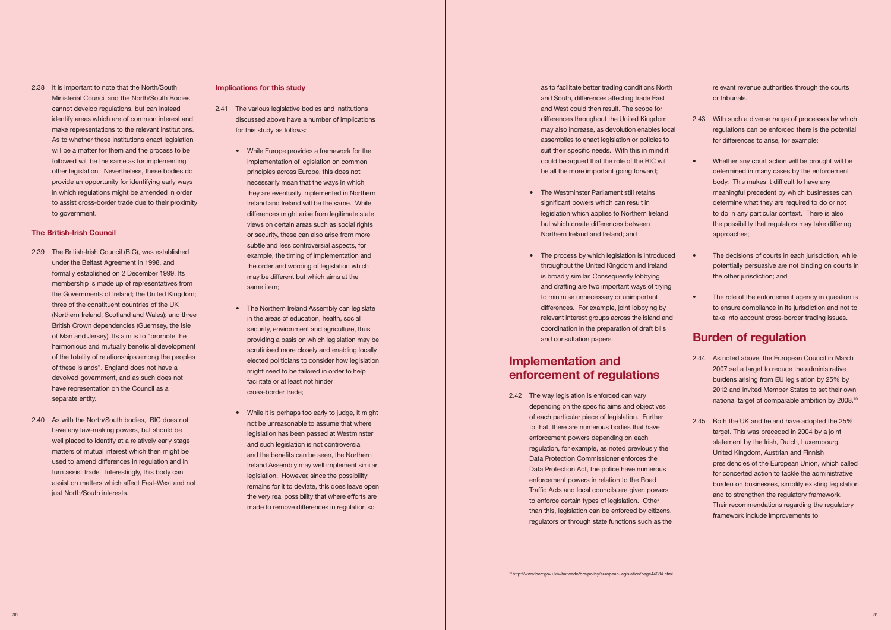- under the Belfast Agreement in 1998, and membership is made up of representatives from the Governments of Ireland; the United Kingdom; of the totality of relationships among the peoples of these islands". England does not have a 2.39 The British-Irish Council (BIC), was established formally established on 2 December 1999. Its three of the constituent countries of the UK (Northern Ireland, Scotland and Wales); and three British Crown dependencies (Guernsey, the Isle of Man and Jersey). Its aim is to "promote the harmonious and mutually beneficial development devolved government, and as such does not have representation on the Council as a separate entity.
- 2.40 As with the North/South bodies, BIC does not well placed to identify at a relatively early stage turn assist trade. Interestingly, this body can assist on matters which affect East-West and not have any law-making powers, but should be matters of mutual interest which then might be used to amend differences in regulation and in just North/South interests.

 identify areas which are of common interest and make representations to the relevant institutions. As to whether these institutions enact legislation will be a matter for them and the process to be followed will be the same as for implementing to assist cross-border trade due to their proximity 2.38 It is important to note that the North/South Ministerial Council and the North/South Bodies cannot develop regulations, but can instead other legislation. Nevertheless, these bodies do provide an opportunity for identifying early ways in which regulations might be amended in order to government.

# **The British-Irish Council**

- discussed above have a number of implications 2.41 The various legislative bodies and institutions for this study as follows:
	- While Europe provides a framework for the implementation of legislation on common principles across Europe, this does not necessarily mean that the ways in which they are eventually implemented in Northern differences might arise from legitimate state or security, these can also arise from more subtle and less controversial aspects, for the order and wording of legislation which Ireland and Ireland will be the same. While views on certain areas such as social rights example, the timing of implementation and may be different but which aims at the same item;
	- The Northern Ireland Assembly can legislate security, environment and agriculture, thus providing a basis on which legislation may be scrutinised more closely and enabling locally elected politicians to consider how legislation might need to be tailored in order to help in the areas of education, health, social facilitate or at least not hinder cross-border trade;
	- While it is perhaps too early to judge, it might not be unreasonable to assume that where legislation has been passed at Westminster and the benefits can be seen, the Northern Ireland Assembly may well implement similar remains for it to deviate, this does leave open the very real possibility that where efforts are made to remove differences in regulation so and such legislation is not controversial legislation. However, since the possibility

 as to facilitate better trading conditions North and South, differences affecting trade East suit their specific needs. With this in mind it could be argued that the role of the BIC will and West could then result. The scope for differences throughout the United Kingdom may also increase, as devolution enables local assemblies to enact legislation or policies to be all the more important going forward;

# **Implications for this study**

 2.42 The way legislation is enforced can vary depending on the specific aims and objectives of each particular piece of legislation. Further enforcement powers depending on each regulation, for example, as noted previously the Data Protection Act, the police have numerous enforcement powers in relation to the Road Traffic Acts and local councils are given powers to enforce certain types of legislation. Other than this, legislation can be enforced by citizens, to that, there are numerous bodies that have Data Protection Commissioner enforces the regulators or through state functions such as the

- regulations can be enforced there is the potential 2.43 With such a diverse range of processes by which for differences to arise, for example:
	- Whether any court action will be brought will be determined in many cases by the enforcement body. This makes it difficult to have any determine what they are required to do or not to do in any particular context. There is also the possibility that regulators may take differing meaningful precedent by which businesses can approaches;

- The Westminster Parliament still retains legislation which applies to Northern Ireland but which create differences between significant powers which can result in Northern Ireland and Ireland; and
- The process by which legislation is introduced and drafting are two important ways of trying • The decisions of courts in each jurisdiction, while potentially persuasive are not binding on courts in • The role of the enforcement agency in question is to ensure compliance in its jurisdiction and not to take into account cross-border trading issues. throughout the United Kingdom and Ireland is broadly similar. Consequently lobbying to minimise unnecessary or unimportant differences. For example, joint lobbying by relevant interest groups across the island and coordination in the preparation of draft bills and consultation papers. the other jurisdiction; and **Burden of regulation**

- 2.44 As noted above, the European Council in March burdens arising from EU legislation by 25% by 2012 and invited Member States to set their own 2007 set a target to reduce the administrative national target of comparable ambition by 2008.<sup>10</sup>
- statement by the Irish, Dutch, Luxembourg, United Kingdom, Austrian and Finnish presidencies of the European Union, which called and to strengthen the regulatory framework. framework include improvements to 2.45 Both the UK and Ireland have adopted the 25% target. This was preceded in 2004 by a joint for concerted action to tackle the administrative burden on businesses, simplify existing legislation Their recommendations regarding the regulatory

# **Implementation and enforcement of regulations**

relevant revenue authorities through the courts or tribunals.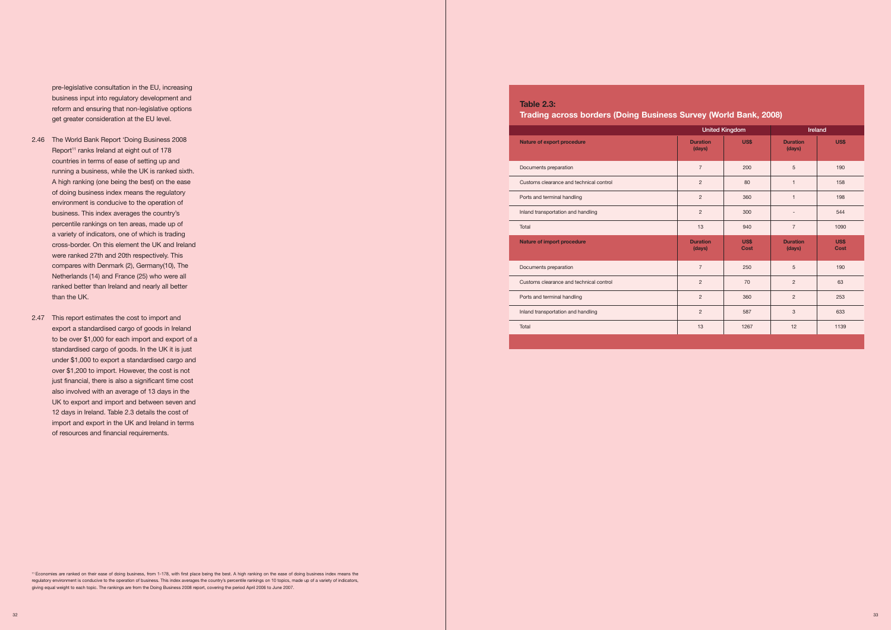pre-legislative consultation in the EU, increasing business input into regulatory development and reform and ensuring that non-legislative options get greater consideration at the EU level.

- 2.46 The World Bank Report 'Doing Business 2008 Report<sup>11</sup> ranks Ireland at eight out of 178 A high ranking (one being the best) on the ease a variety of indicators, one of which is trading cross-border. On this element the UK and Ireland Netherlands (14) and France (25) who were all ranked better than Ireland and nearly all better countries in terms of ease of setting up and running a business, while the UK is ranked sixth. of doing business index means the regulatory environment is conducive to the operation of business. This index averages the country's percentile rankings on ten areas, made up of were ranked 27th and 20th respectively. This compares with Denmark (2), Germany(10), The than the UK.
- export a standardised cargo of goods in Ireland under \$1,000 to export a standardised cargo and over \$1,200 to import. However, the cost is not just financial, there is also a significant time cost also involved with an average of 13 days in the UK to export and import and between seven and import and export in the UK and Ireland in terms 2.47 This report estimates the cost to import and to be over \$1,000 for each import and export of a standardised cargo of goods. In the UK it is just 12 days in Ireland. Table 2.3 details the cost of of resources and financial requirements.

 11 Economies are ranked on their ease of doing business, from 1-178, with first place being the best. A high ranking on the ease of doing business index means the regulatory environment is conducive to the operation of business. This index averages the country's percentile rankings on 10 topics, made up of a variety of indicators, giving equal weight to each topic. The rankings are from the Doing Business 2008 report, covering the period April 2006 to June 2007.

# **Trading across borders (Doing Business Survey (World Bank, 2008)**

**Table 2.3:** 

|                                         |                           | <b>United Kingdom</b> | Ireland                   |                            |
|-----------------------------------------|---------------------------|-----------------------|---------------------------|----------------------------|
| Nature of export procedure              | <b>Duration</b><br>(days) | <b>US\$</b>           | <b>Duration</b><br>(days) | <b>US\$</b>                |
| Documents preparation                   | $\overline{7}$            | 200                   | 5                         | 190                        |
| Customs clearance and technical control | $\overline{2}$            | 80                    | $\mathbf{1}$              | 158                        |
| Ports and terminal handling             | 2                         | 360                   | $\mathbf{1}$              | 198                        |
| Inland transportation and handling      | $\overline{2}$            | 300                   |                           | 544                        |
| Total                                   | 13                        | 940                   | $\overline{7}$            | 1090                       |
| Nature of import procedure              | <b>Duration</b><br>(days) | US\$<br><b>Cost</b>   | <b>Duration</b><br>(days) | <b>US\$</b><br><b>Cost</b> |
| Documents preparation                   | $\overline{7}$            | 250                   | 5                         | 190                        |
| Customs clearance and technical control | $\overline{2}$            | 70                    | $\overline{2}$            | 63                         |
| Ports and terminal handling             | $\overline{2}$            | 360                   | $\overline{2}$            | 253                        |
| Inland transportation and handling      | $\overline{2}$            | 587                   | 3                         | 633                        |
| Total                                   | 13                        | 1267                  | 12                        | 1139                       |
|                                         |                           |                       |                           |                            |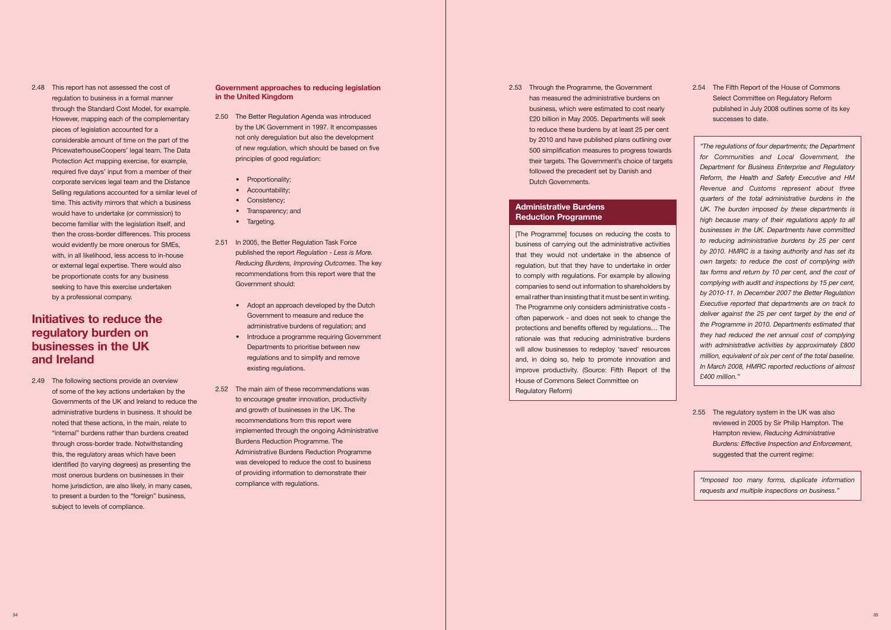2.48 This report has not assessed the cost of through the Standard Cost Model, for example. Protection Act mapping exercise, for example, required five days' input from a member of their would have to undertake (or commission) to become familiar with the legislation itself, and regulation to business in a formal manner However, mapping each of the complementary pieces of legislation accounted for a considerable amount of time on the part of the PricewaterhouseCoopers' legal team. The Data corporate services legal team and the Distance Selling regulations accounted for a similar level of time. This activity mirrors that which a business then the cross-border differences. This process would evidently be more onerous for SMEs, with, in all likelihood, less access to in-house or external legal expertise. There would also be proportionate costs for any business seeking to have this exercise undertaken by a professional company.

# **Initiatives to reduce the regulatory burden on businesses in the UK and Ireland**

 Governments of the UK and Ireland to reduce the administrative burdens in business. It should be noted that these actions, in the main, relate to through cross-border trade. Notwithstanding this, the regulatory areas which have been most onerous burdens on businesses in their home jurisdiction, are also likely, in many cases, 2.49 The following sections provide an overview of some of the key actions undertaken by the "internal" burdens rather than burdens created identified (to varying degrees) as presenting the to present a burden to the "foreign" business, subject to levels of compliance.

# **Government approaches to reducing legislation in the United Kingdom**

- of new regulation, which should be based on five 2.50 The Better Regulation Agenda was introduced by the UK Government in 1997. It encompasses not only deregulation but also the development principles of good regulation:
	- Proportionality:
	- Accountability;
	- Consistency;
	- Transparency; and
	- Targeting.
- 2.51 In 2005, the Better Regulation Task Force published the report *Regulation* - *Less is More. Reducing Burdens, Improving Outcomes*. The key recommendations from this report were that the Government should:
	- Adopt an approach developed by the Dutch Government to measure and reduce the administrative burdens of regulation; and
	- Introduce a programme requiring Government Departments to prioritise between new regulations and to simplify and remove existing regulations.
- to encourage greater innovation, productivity and growth of businesses in the UK. The recommendations from this report were Administrative Burdens Reduction Programme of providing information to demonstrate their compliance with regulations. 2.52 The main aim of these recommendations was implemented through the ongoing Administrative Burdens Reduction Programme. The was developed to reduce the cost to business

 2.53 Through the Programme, the Government business, which were estimated to cost nearly to reduce these burdens by at least 25 per cent by 2010 and have published plans outlining over has measured the administrative burdens on £20 billion in May 2005. Departments will seek 500 simplification measures to progress towards their targets. The Government's choice of targets followed the precedent set by Danish and Dutch Governments.

 [The Programme] focuses on reducing the costs to business of carrying out the administrative activities that they would not undertake in the absence of to comply with regulations. For example by allowing The Programme only considers administrative costs - will allow businesses to redeploy 'saved' resources and, in doing so, help to promote innovation and improve productivity. (Source: Fifth Report of the regulation, but that they have to undertake in order companies to send out information to shareholders by email rather than insisting that it must be sent in writing. often paperwork - and does not seek to change the protections and benefits offered by regulations… The rationale was that reducing administrative burdens House of Commons Select Committee on Regulatory Reform)

 2.54 The Fifth Report of the House of Commons Select Committee on Regulatory Reform published in July 2008 outlines some of its key successes to date.

 *quarters of the total administrative burdens in the high because many of their regulations apply to all businesses in the UK. Departments have committed by 2010. HMRC is a taxing authority and has set its by 2010-11. In December 2007 the Better Regulation Executive reported that departments are on track to million, equivalent of six per cent of the total baseline. "The regulations of four departments; the Department for Communities and Local Government, the Department for Business Enterprise and Regulatory Reform, the Health and Safety Executive and HM Revenue and Customs represent about three UK. The burden imposed by these departments is to reducing administrative burdens by 25 per cent own targets: to reduce the cost of complying with tax forms and return by 10 per cent, and the cost of complying with audit and inspections by 15 per cent, deliver against the 25 per cent target by the end of the Programme in 2010. Departments estimated that they had reduced the net annual cost of complying with administrative activities by approximately £800 In March 2008, HMRC reported reductions of almost £400 million."* 

 2.55 The regulatory system in the UK was also reviewed in 2005 by Sir Philip Hampton. The Hampton review, *Reducing Administrative Burdens: Effective Inspection and Enforcement*, suggested that the current regime:

# **Administrative Burdens Reduction Programme**

*"Imposed too many forms, duplicate information requests and multiple inspections on business."*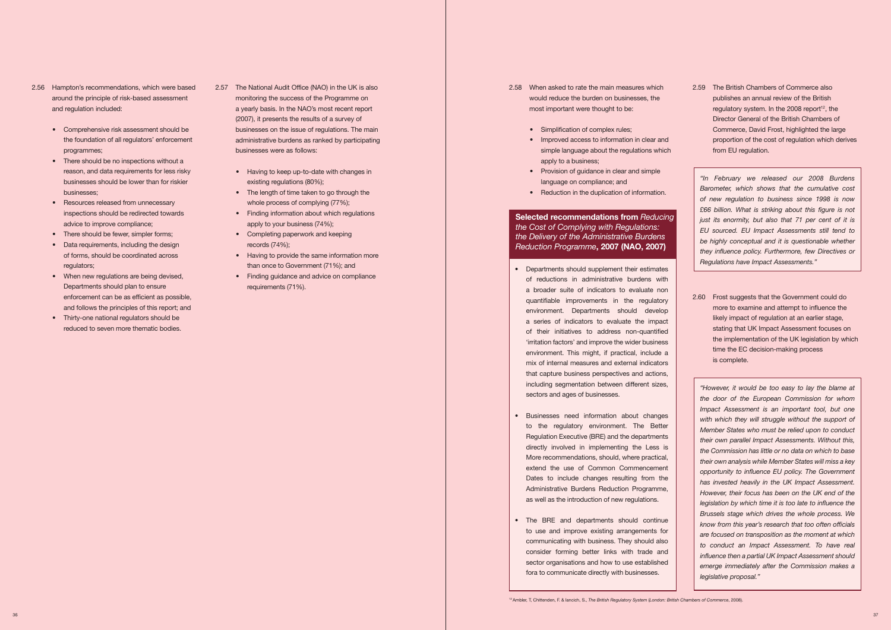- 2.56 Hampton's recommendations, which were based around the principle of risk-based assessment and regulation included:
	- Comprehensive risk assessment should be the foundation of all regulators' enforcement programmes; businesses were as follows:
	- There should be no inspections without a businesses should be lower than for riskier reason, and data requirements for less risky businesses;
	- Resources released from unnecessary inspections should be redirected towards advice to improve compliance;
	- There should be fewer, simpler forms;
	- Data requirements, including the design of forms, should be coordinated across regulators;
	- When new regulations are being devised, Departments should plan to ensure enforcement can be as efficient as possible, and follows the principles of this report; and
	- Thirty-one national regulators should be reduced to seven more thematic bodies.
- 2.57 The National Audit Office (NAO) in the UK is also monitoring the success of the Programme on a yearly basis. In the NAO's most recent report businesses on the issue of regulations. The main administrative burdens as ranked by participating (2007), it presents the results of a survey of
	- Having to keep up-to-date with changes in existing regulations (80%);
	- The length of time taken to go through the whole process of complying (77%);
	- Finding information about which regulations apply to your business (74%);
	- • Completing paperwork and keeping records (74%);
	- Having to provide the same information more than once to Government (71%); and
	- Finding guidance and advice on compliance requirements (71%).
- 2.58 When asked to rate the main measures which would reduce the burden on businesses, the most important were thought to be:
	- Simplification of complex rules;
	- Improved access to information in clear and simple language about the regulations which apply to a business;
	- Provision of guidance in clear and simple language on compliance; and
	- Reduction in the duplication of information.

# *the Cost of Complying with Regulations:*   *Reduction Programme* **, 2007 (NAO, 2007) Selected recommendations from** *Reducing the Delivery of the Administrative Burdens*

- Departments should supplement their estimates a broader suite of indicators to evaluate non quantifiable improvements in the regulatory environment. Departments should develop a series of indicators to evaluate the impact 'irritation factors' and improve the wider business environment. This might, if practical, include a mix of internal measures and external indicators that capture business perspectives and actions, including segmentation between different sizes, of reductions in administrative burdens with of their initiatives to address non-quantified sectors and ages of businesses.
- Businesses need information about changes directly involved in implementing the Less is extend the use of Common Commencement Dates to include changes resulting from the Administrative Burdens Reduction Programme, as well as the introduction of new regulations. to the regulatory environment. The Better Regulation Executive (BRE) and the departments More recommendations, should, where practical,
- The BRE and departments should continue communicating with business. They should also sector organisations and how to use established to use and improve existing arrangements for consider forming better links with trade and fora to communicate directly with businesses.

 2.59 The British Chambers of Commerce also Director General of the British Chambers of proportion of the cost of regulation which derives publishes an annual review of the British regulatory system. In the 2008 report<sup>12</sup>, the Commerce, David Frost, highlighted the large from EU regulation.

 2.60 Frost suggests that the Government could do likely impact of regulation at an earlier stage, more to examine and attempt to influence the stating that UK Impact Assessment focuses on the implementation of the UK legislation by which time the EC decision-making process is complete.

 *Barometer, which shows that the cumulative cost of new regulation to business since 1998 is now £66 billion. What is striking about this figure is not just its enormity, but also that 71 per cent of it is EU sourced. EU Impact Assessments still tend to be highly conceptual and it is questionable whether they influence policy. Furthermore, few Directives or "In February we released our 2008 Burdens Regulations have Impact Assessments."* 

 *"However, it would be too easy to lay the blame at Impact Assessment is an important tool, but one Member States who must be relied upon to conduct the Commission has little or no data on which to base their own analysis while Member States will miss a key opportunity to influence EU policy. The Government However, their focus has been on the UK end of the to conduct an Impact Assessment. To have real emerge immediately after the Commission makes a the door of the European Commission for whom*  with which they will struggle without the support of *their own parallel Impact Assessments. Without this, has invested heavily in the UK Impact Assessment. legislation by which time it is too late to influence the Brussels stage which drives the whole process. We know from this year's research that too often officials are focused on transposition as the moment at which influence then a partial UK Impact Assessment should legislative proposal."*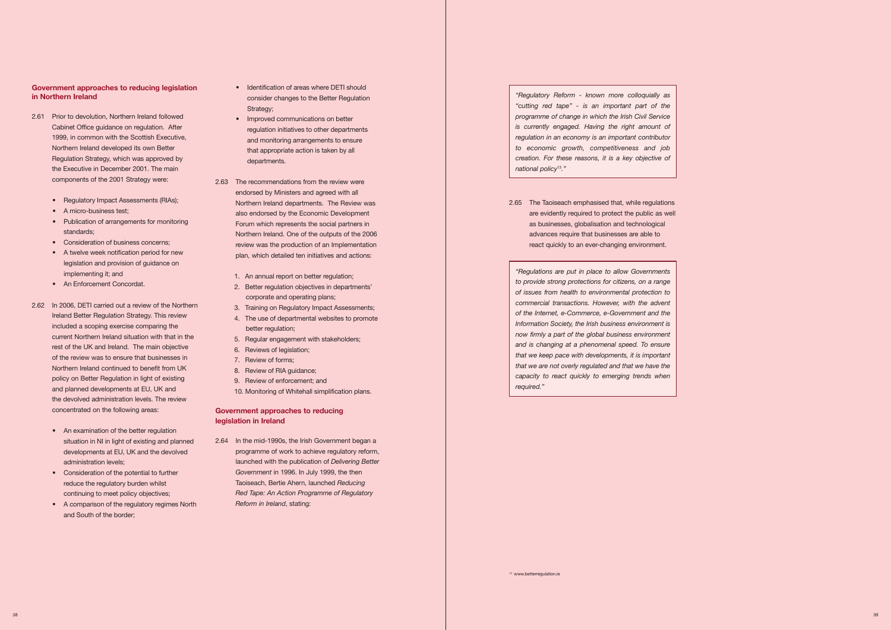# **Government approaches to reducing legislation in Northern Ireland**

- Cabinet Office guidance on regulation. After the Executive in December 2001. The main 2.61 Prior to devolution, Northern Ireland followed 1999, in common with the Scottish Executive, Northern Ireland developed its own Better Regulation Strategy, which was approved by components of the 2001 Strategy were:
	- Regulatory Impact Assessments (RIAs);
	- A micro-business test;
	- Publication of arrangements for monitoring standards;
	- • Consideration of business concerns;
	- A twelve week notification period for new legislation and provision of guidance on implementing it; and
	- An Enforcement Concordat.
- current Northern Ireland situation with that in the rest of the UK and Ireland. The main objective Northern Ireland continued to benefit from UK policy on Better Regulation in light of existing 2.62 In 2006, DETI carried out a review of the Northern Ireland Better Regulation Strategy. This review included a scoping exercise comparing the of the review was to ensure that businesses in and planned developments at EU, UK and the devolved administration levels. The review concentrated on the following areas:
	- An examination of the better regulation situation in NI in light of existing and planned developments at EU, UK and the devolved administration levels;
	- Consideration of the potential to further reduce the regulatory burden whilst continuing to meet policy objectives;
	- • A comparison of the regulatory regimes North and South of the border;
- Identification of areas where DETI should consider changes to the Better Regulation Strategy;
- Improved communications on better regulation initiatives to other departments and monitoring arrangements to ensure that appropriate action is taken by all departments.
- Northern Ireland departments. The Review was also endorsed by the Economic Development Forum which represents the social partners in Northern Ireland. One of the outputs of the 2006 2.63 The recommendations from the review were endorsed by Ministers and agreed with all review was the production of an Implementation plan, which detailed ten initiatives and actions:
	- 1. An annual report on better regulation;
	- 2. Better regulation objectives in departments' corporate and operating plans;
	- 3. Training on Regulatory Impact Assessments;
	- 4. The use of departmental websites to promote better regulation;
	- 5. Regular engagement with stakeholders;
	- 6. Reviews of legislation;
	- 7. Review of forms;
	- 8. Review of RIA guidance;
	- 9. Review of enforcement; and
	- 10. Monitoring of Whitehall simplification plans.

 2.64 In the mid-1990s, the Irish Government began a programme of work to achieve regulatory reform,  launched with the publication of *Delivering Better Red Tape: An Action Programme of Regulatory Government* in 1996. In July 1999, the then Taoiseach, Bertie Ahern, launched *Reducing Reform in Ireland*, stating:

 *"Regulatory Reform - known more colloquially as "cutting red tape" - is an important part of the is currently engaged. Having the right amount of creation. For these reasons, it is a key objective of programme of change in which the Irish Civil Service regulation in an economy is an important contributor to economic growth, competitiveness and job national policy*13*."* 

 *"Regulations are put in place to allow Governments to provide strong protections for citizens, on a range Information Society, the Irish business environment is and is changing at a phenomenal speed. To ensure that we are not overly regulated and that we have the of issues from health to environmental protection to commercial transactions. However, with the advent of the Internet, e-Commerce, e-Government and the now firmly a part of the global business environment that we keep pace with developments, it is important capacity to react quickly to emerging trends when required."* 





# **Government approaches to reducing legislation in Ireland**

2.65 The Taoiseach emphasised that, while regulations are evidently required to protect the public as well as businesses, globalisation and technological advances require that businesses are able to react quickly to an ever-changing environment.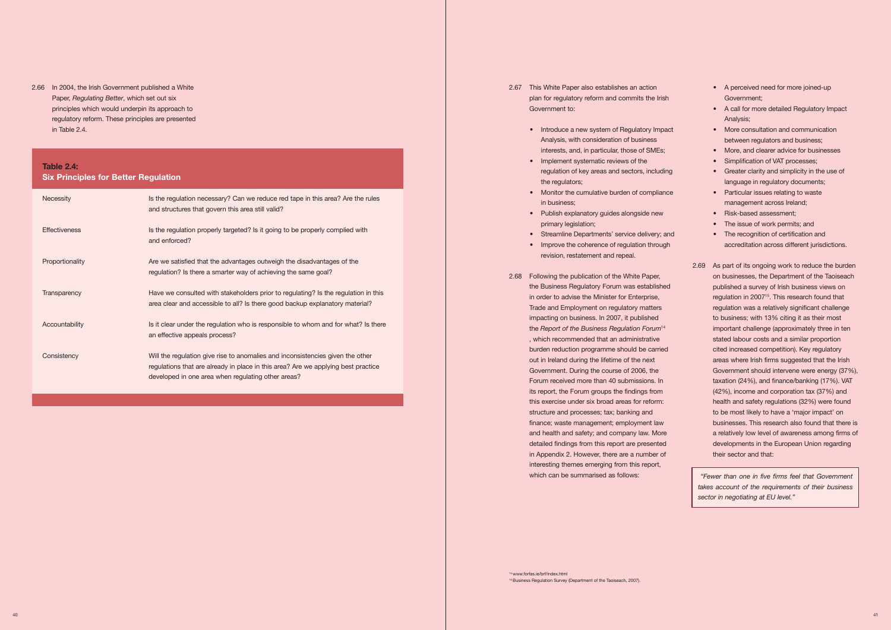principles which would underpin its approach to 2.66 In 2004, the Irish Government published a White Paper, *Regulating Better*, which set out six regulatory reform. These principles are presented in Table 2.4.

# **Table 2.4:**

**Six Principles for Better Regulation** 

| Necessity            | Is the regulation necessary? Can we reduce red tape in this area? Are the rules<br>and structures that govern this area still valid?                                                                                      |
|----------------------|---------------------------------------------------------------------------------------------------------------------------------------------------------------------------------------------------------------------------|
| <b>Effectiveness</b> | Is the regulation properly targeted? Is it going to be properly complied with<br>and enforced?                                                                                                                            |
| Proportionality      | Are we satisfied that the advantages outweigh the disadvantages of the<br>regulation? Is there a smarter way of achieving the same goal?                                                                                  |
| Transparency         | Have we consulted with stakeholders prior to regulating? Is the regulation in this<br>area clear and accessible to all? Is there good backup explanatory material?                                                        |
| Accountability       | Is it clear under the regulation who is responsible to whom and for what? Is there<br>an effective appeals process?                                                                                                       |
| Consistency          | Will the regulation give rise to anomalies and inconsistencies given the other<br>regulations that are already in place in this area? Are we applying best practice<br>developed in one area when regulating other areas? |

- 2.67 This White Paper also establishes an action plan for regulatory reform and commits the Irish Government to:
	- Introduce a new system of Regulatory Impact Analysis, with consideration of business interests, and, in particular, those of SMEs;
	- Implement systematic reviews of the regulation of key areas and sectors, including the regulators;
	- Monitor the cumulative burden of compliance in business;
	- Publish explanatory guides alongside new primary legislation;
	- Streamline Departments' service delivery; and
	- Improve the coherence of regulation through revision, restatement and repeal.
- 2.68 Following the publication of the White Paper, in order to advise the Minister for Enterprise, Government. During the course of 2006, the Forum received more than 40 submissions. In this exercise under six broad areas for reform: detailed findings from this report are presented in Appendix 2. However, there are a number of interesting themes emerging from this report, the Business Regulatory Forum was established Trade and Employment on regulatory matters impacting on business. In 2007, it published the *Report of the Business Regulation Forum*<sup>14</sup> , which recommended that an administrative burden reduction programme should be carried out in Ireland during the lifetime of the next its report, the Forum groups the findings from structure and processes; tax; banking and finance; waste management; employment law and health and safety; and company law. More which can be summarised as follows:
- A perceived need for more joined-up Government;
- • A call for more detailed Regulatory Impact Analysis;
- More consultation and communication between regulators and business;
- More, and clearer advice for businesses
- Simplification of VAT processes;
- Greater clarity and simplicity in the use of language in regulatory documents;
- Particular issues relating to waste management across Ireland;
- Risk-based assessment;
- The issue of work permits; and
- The recognition of certification and accreditation across different jurisdictions.
- 2.69 As part of its ongoing work to reduce the burden published a survey of Irish business views on regulation in 2007<sup>15</sup>. This research found that to business; with 13% citing it as their most areas where Irish firms suggested that the Irish (42%), income and corporation tax (37%) and to be most likely to have a 'major impact' on businesses. This research also found that there is a relatively low level of awareness among firms of on businesses, the Department of the Taoiseach regulation was a relatively significant challenge important challenge (approximately three in ten stated labour costs and a similar proportion cited increased competition). Key regulatory Government should intervene were energy (37%), taxation (24%), and finance/banking (17%). VAT health and safety regulations (32%) were found developments in the European Union regarding their sector and that:

 *takes account of the requirements of their business "Fewer than one in five firms feel that Government sector in negotiating at EU level."*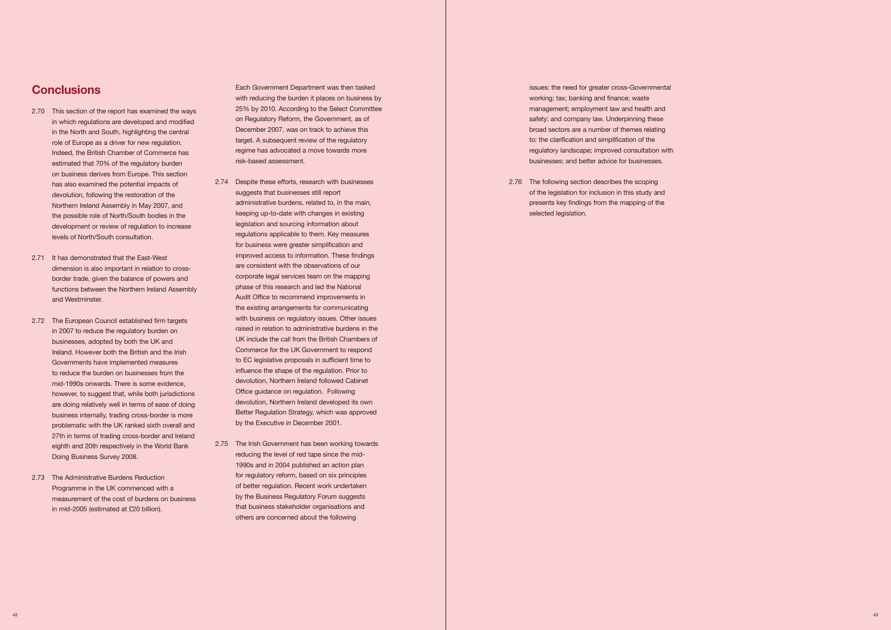# **Conclusions**

- 2.70 This section of the report has examined the ways in which regulations are developed and modified in the North and South, highlighting the central Indeed, the British Chamber of Commerce has estimated that 70% of the regulatory burden on business derives from Europe. This section has also examined the potential impacts of Northern Ireland Assembly in May 2007, and development or review of regulation to increase role of Europe as a driver for new regulation. devolution, following the restoration of the the possible role of North/South bodies in the levels of North/South consultation.
- 2.71 It has demonstrated that the East-West border trade, given the balance of powers and dimension is also important in relation to crossfunctions between the Northern Ireland Assembly and Westminster.
- in 2007 to reduce the regulatory burden on Ireland. However both the British and the Irish Governments have implemented measures to reduce the burden on businesses from the mid-1990s onwards. There is some evidence, however, to suggest that, while both jurisdictions are doing relatively well in terms of ease of doing problematic with the UK ranked sixth overall and 2.72 The European Council established firm targets businesses, adopted by both the UK and business internally, trading cross-border is more 27th in terms of trading cross-border and Ireland eighth and 20th respectively in the World Bank Doing Business Survey 2008.
- Programme in the UK commenced with a in mid-2005 (estimated at £20 billion). 2.73 The Administrative Burdens Reduction measurement of the cost of burdens on business

 on Regulatory Reform, the Government, as of December 2007, was on track to achieve this target. A subsequent review of the regulatory Each Government Department was then tasked with reducing the burden it places on business by 25% by 2010. According to the Select Committee regime has advocated a move towards more risk-based assessment.

 broad sectors are a number of themes relating to: the clarification and simplification of the regulatory landscape; improved consultation with issues: the need for greater cross-Governmental working; tax; banking and finance; waste management; employment law and health and safety; and company law. Underpinning these businesses; and better advice for businesses.

 2.76 The following section describes the scoping of the legislation for inclusion in this study and presents key findings from the mapping of the selected legislation.

- suggests that businesses still report administrative burdens, related to, in the main, keeping up-to-date with changes in existing legislation and sourcing information about are consistent with the observations of our phase of this research and led the National the existing arrangements for communicating with business on regulatory issues. Other issues raised in relation to administrative burdens in the UK include the call from the British Chambers of influence the shape of the regulation. Prior to devolution, Northern Ireland followed Cabinet Office guidance on regulation. Following 2.74 Despite these efforts, research with businesses regulations applicable to them. Key measures for business were greater simplification and improved access to information. These findings corporate legal services team on the mapping Audit Office to recommend improvements in Commerce for the UK Government to respond to EC legislative proposals in sufficient time to devolution, Northern Ireland developed its own Better Regulation Strategy, which was approved by the Executive in December 2001.
- 2.75 The Irish Government has been working towards 1990s and in 2004 published an action plan that business stakeholder organisations and others are concerned about the following reducing the level of red tape since the mid for regulatory reform, based on six principles of better regulation. Recent work undertaken by the Business Regulatory Forum suggests

42 43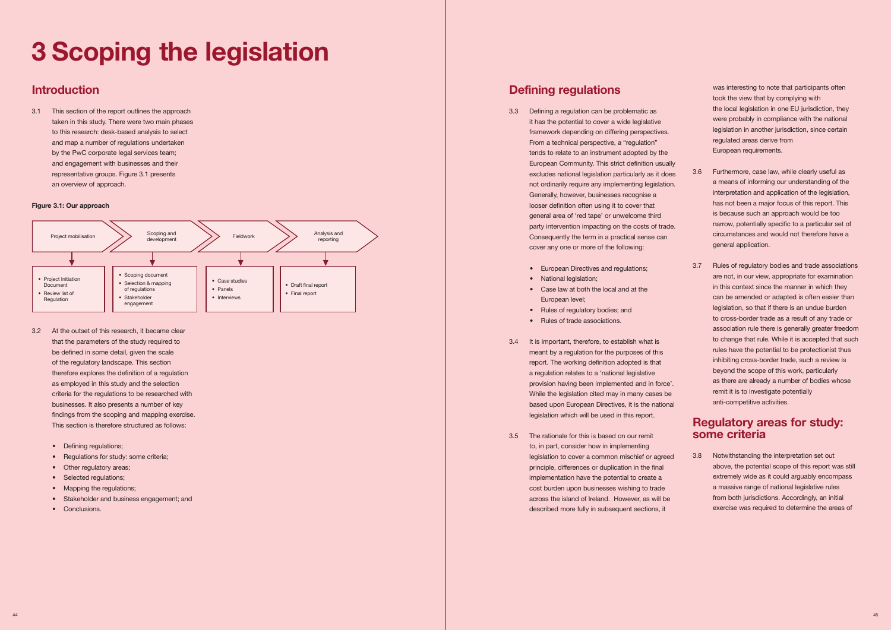# **3 Scoping the legislation**

to this research: desk-based analysis to select and engagement with businesses and their



- be defined in some detail, given the scale as employed in this study and the selection criteria for the regulations to be researched with findings from the scoping and mapping exercise.
	-
	- Requlations for study: some criteria;
	- Other regulatory areas;
	- Selected regulations;
	- Mapping the regulations;
	- Stakeholder and business engagement; and
	-

- 3.3 Defining a regulation can be problematic as it has the potential to cover a wide legislative by the PwC corporate legal services team; the PwC corporate legal services team; the corporate legal services team; the corporate legal services team; the corporate legal services team; representative groups. Figure 3.1 presents excludes national legislation particularly as it does and the more, case law, while clearly useful as representative groups. Figure 3.6 Furthermore, case law, while clearly useful Generally, however, businesses recognise a is because such an approach would be too general area of 'red tape' or unwelcome third party intervention impacting on the costs of trade. The party interventially specific to a particular set of were probably in compliance with the national Furthermore, case law, while clearly useful as a means of informing our understanding of the Generally, however, businesses recognise a interpretation and application of the legislation, has not been a major focus of this report. This is because such an approach would be too narrow, potentially specific to a particular set of taken in this study. There were two main phases it has the potential to cover a wide legislative were probably in compliance with the national and map a number of regulations undertaken From a number of regulations undertaken From a technical perspective, a "regulation" regulated areas derive from 3.1 This section of the report outlines the approach and the approach structure of the approach structure of the approach structure of the local legislation in one EU jurisdiction, they framework depending on differing perspectives. description in another jurisdiction, since certain European Community. This strict definition usually an overview of approach. The annual contract of the annual contract of the annual contract of the annual contract of the annual contract of the annual contract of the annual contract of the annual contract of the annual co **has not been a major focus of this report.** This report of this report of this report. This report of this report of this report. This report is report to cover that circumstances and would not therefore have a Consequently the term in a practical sense can general application. cover any one or more of the following:
	- European Directives and regulations;
	-
	- Case law at both the local and at the
	- Rules of regulatory bodies; and
	- Rules of trade associations.
	- a regulation relates to a 'national legislative as employed in this study and the selection **provision and the selection** provision having been implemented and in force'. The as there are already a number of bodies whose criteria for the regulations to be researched with while the legislation cited may in many cases be remit it is to investigate potentially businesses. It also presents a number of key **based upon European Directives, it is the national** anti-competitive activities. legislation which will be used in this report. that the parameters of the study required to the study required to 3.4 It is important, therefore, to establish what is of the regulatory landscape. This section report of the regulatory landscape. This section report of the regulatory landscape. This section report. The working definition adopted is that therefore explores the definition of a regulation a regulation control the scope of this work, particularly therefore explores the definition of a regulation control the scope of this work, particularly
	- 3.5 The rationale for this is based on our remit **some criteria**  • Regulations for study: some criteria; **legislation to cover a common mischief or agreed** 3.8 Notwithstanding the interpretation set out • Stakeholder and business engagement; and across the island of Ireland. However, as will be from both jurisdictions. Accordingly, an initial • Conclusions. described more fully in subsequent sections, it exercise was required to determine the areas of • Defining regulations; the consider how in implementing the consider how in implementing to the consider how in implementing cost burden upon businesses wishing to trade

was interesting to note that participants often **Introduction**<br> **Introduction** was interesting to note that participants often **Introduction** was interesting to note that participants often **introduction** was interesting to note that participants often

• European Directives and regulations; 3.7 Rules of regulatory bodies and trade associations legislation, so that if there is an undue burden association rule there is generally greater freedom to change that rule. While it is accepted that such inhibiting cross-border trade, such a review is association rule there is generally greater freedom 3.2 At the outset of this research, it became clear to cross-border trade as a result of any trade or rules have the potential to be protectionist thus meant by a regulation for the purposes of this

# Findings from the scoping and mapping exercise. **This section which will be used in the regulatory areas for study: Regulatory areas for study:**

• Other regulatory areas; **the controllent in the final above, the potential scope of this report was still regulatory areas;** • Selected regulations; including the potential to create a extremely wide as it could arguably encompass implementation have the potential to create a extremely wide as it could arguably encompass above, the potential scope of this report was still extremely wide as it could arguably encompass a massive range of national legislative rules exercise was required to determine the areas of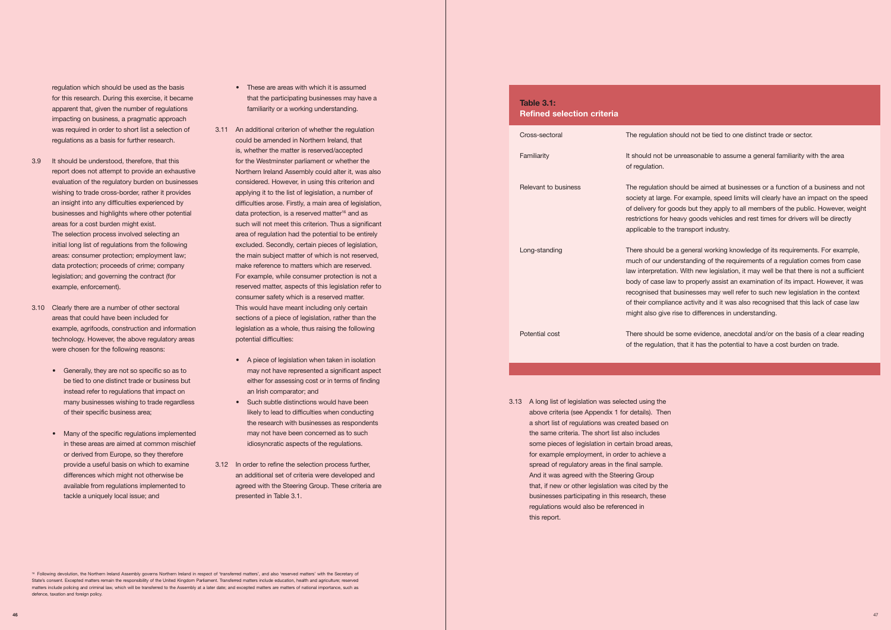might also give rise to differences in understanding. general working knowledge of its requirements. For example, standing of the requirements of a requlation comes from case With new legislation, it may well be that there is not a sufficient to properly assist an examination of its impact. However, it was isinesses may well refer to such new legislation in the context activity and it was also recognised that this lack of case law

> ome evidence, anecdotal and/or on the basis of a clear reading hat it has the potential to have a cost burden on trade.

for this research. During this exercise, it became was required in order to short list a selection of regulation which should be used as the basis apparent that, given the number of regulations familiarity or a working understanding. impacting on business, a pragmatic approach

- report does not attempt to provide an exhaustive an insight into any difficulties experienced by initial long list of regulations from the following areas: consumer protection; employment law; 3.9 It should be understood, therefore, that this for the Westminster parliament or whether the evaluation of the regulatory burden on businesses wishing to trade cross-border, rather it provides businesses and highlights where other potential data protection; proceeds of crime; company
- areas that could have been included for example, agrifoods, construction and information technology. However, the above regulatory areas potential difficulties: were chosen for the following reasons:
	- Generally, they are not so specific so as to be tied to one distinct trade or business but instead refer to regulations that impact on an Irish comparator; and
	- Many of the specific regulations implemented may not have been concerned as to such in these areas are aimed at common mischief in the regulations. provide a useful basis on which to examine differences which might not otherwise be or derived from Europe, so they therefore tackle a uniquely local issue; and
- These are areas with which it is assumed that the participating businesses may have a
- was required in order to short list a selection of 3.11 An additional criterion of whether the regulation regulations as a basis for further research. could be amended in Northern Ireland, that report does not attempt to provide an exhaustive Northern Ireland Assembly could alter it, was also considered. However, in using this criterion and applying it to the list of legislation, a number of difficulties arose. Firstly, a main area of legislation, data protection, is a reserved matter<sup>16</sup> and as areas for a cost burden might exist. such will not meet this criterion. Thus a significant The selection process involved selecting an area of regulation had the potential to be entirely initial long list of regulations from the following excluded. Secondly, certain pieces of legislation, make reference to matters which are reserved. legislation; and governing the contract (for Forexample, while consumer protection is not a example, enforcement). The served matter, aspects of this legislation refer to areas that could have been included for sections of a piece of legislation, rather than the example, agrifoods, construction and information **legislation as a whole, thus raising the following** is, whether the matter is reserved/accepted the main subject matter of which is not reserved, consumer safety which is a reserved matter. 3.10 Clearly there are a number of other sectoral This would have meant including only certain
	- A piece of legislation when taken in isolation • Generally, they are not so specific so as to may not have represented a significant aspect be tied to one distinct trade or business but either for assessing cost or in terms of finding
	- many businesses wishing to trade regardless **•** Such subtle distinctions would have been • Such subtle distinctions would have been the research with businesses as respondents of their specific business area; likely to lead to difficulties when conducting
	- provide a useful basis on which to examine 3.12 In order to refine the selection process further, differences which might not otherwise be an additional set of criteria were developed and available from regulations implemented to agreed with the Steering Group. These criteria are presented in Table 3.1.

 State's consent. Excepted matters remain the responsibility of the United Kingdom Parliament. Transferred matters include education, health and agriculture; reserved matters include policing and criminal law, which will be transferred to the Assembly at a later date; and excepted matters are matters of national importance, such as 16 Following devolution, the Northern Ireland Assembly governs Northern Ireland in respect of 'transferred matters', and also 'reserved matters' with the Secretary of defence, taxation and foreign policy.

Luid not be tied to one distinct trade or sector.

Ireasonable to assume a general familiarity with the area

ruld be aimed at businesses or a function of a business and not or example, speed limits will clearly have an impact on the speed ds but they apply to all members of the public. However, weight vy goods vehicles and rest times for drivers will be directly ansport industry.

 3.13 A long list of legislation was selected using the above criteria (see Appendix 1 for details). Then a short list of regulations was created based on the same criteria. The short list also includes some pieces of legislation in certain broad areas, for example employment, in order to achieve a spread of regulatory areas in the final sample. that, if new or other legislation was cited by the And it was agreed with the Steering Group businesses participating in this research, these regulations would also be referenced in this report.

| <b>Table 3.1:</b><br><b>Refined selection criteria</b> |                                                                                                                                                           |
|--------------------------------------------------------|-----------------------------------------------------------------------------------------------------------------------------------------------------------|
| Cross-sectoral                                         | The regulation shor                                                                                                                                       |
| Familiarity                                            | It should not be un<br>of regulation.                                                                                                                     |
| Relevant to business                                   | The regulation shor<br>society at large. Fo<br>of delivery for good<br>restrictions for heat<br>applicable to the tr                                      |
| Long-standing                                          | There should be a<br>much of our under<br>law interpretation.<br>body of case law to<br>recognised that bu<br>of their compliance<br>might also give rise |
| Potential cost                                         | There should be so<br>of the regulation, th                                                                                                               |
|                                                        |                                                                                                                                                           |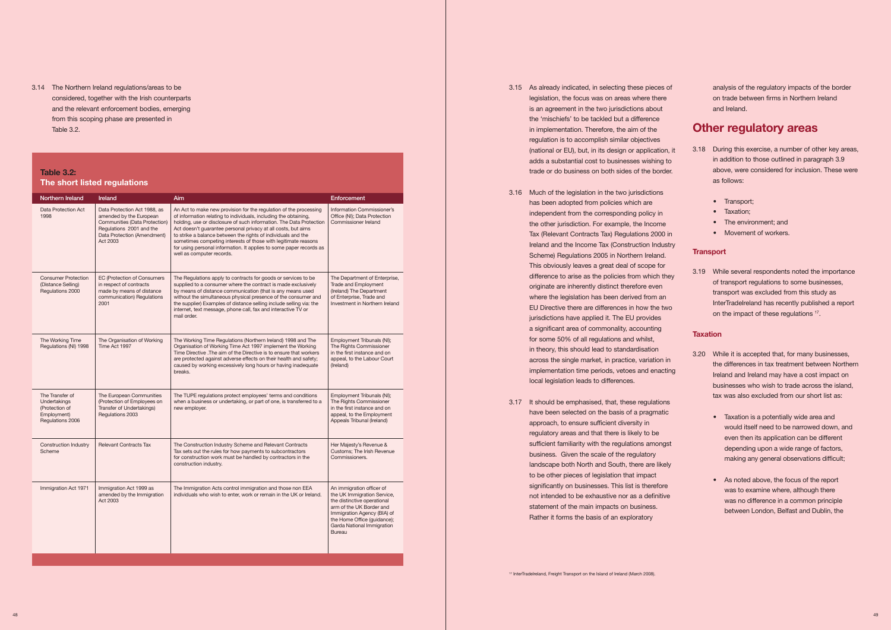and the relevant enforcement bodies, emerging 3.14 The Northern Ireland regulations/areas to be considered, together with the Irish counterparts from this scoping phase are presented in Table 3.2.

# **Table 3.2: The short listed regulations**

| Northern Ireland                                                                            | Ireland                                                                                                                                                         | Aim                                                                                                                                                                                                                                                                                                                                                                                                                                                                                                                  | <b>Enforcement</b>                                                                                                                                                                                                               |
|---------------------------------------------------------------------------------------------|-----------------------------------------------------------------------------------------------------------------------------------------------------------------|----------------------------------------------------------------------------------------------------------------------------------------------------------------------------------------------------------------------------------------------------------------------------------------------------------------------------------------------------------------------------------------------------------------------------------------------------------------------------------------------------------------------|----------------------------------------------------------------------------------------------------------------------------------------------------------------------------------------------------------------------------------|
| Data Protection Act<br>1998                                                                 | Data Protection Act 1988, as<br>amended by the European<br>Communities (Data Protection)<br>Regulations 2001 and the<br>Data Protection (Amendment)<br>Act 2003 | An Act to make new provision for the regulation of the processing<br>of information relating to individuals, including the obtaining,<br>holding, use or disclosure of such information. The Data Protection<br>Act doesn't quarantee personal privacy at all costs, but aims<br>to strike a balance between the rights of individuals and the<br>sometimes competing interests of those with legitimate reasons<br>for using personal information. It applies to some paper records as<br>well as computer records. | Information Commissioner's<br>Office (NI); Data Protection<br>Commissioner Ireland                                                                                                                                               |
| <b>Consumer Protection</b><br>(Distance Selling)<br>Regulations 2000                        | <b>EC (Protection of Consumers</b><br>in respect of contracts<br>made by means of distance<br>communication) Regulations<br>2001                                | The Regulations apply to contracts for goods or services to be<br>supplied to a consumer where the contract is made exclusively<br>by means of distance communication (that is any means used<br>without the simultaneous physical presence of the consumer and<br>the supplier) Examples of distance selling include selling via: the<br>internet, text message, phone call, fax and interactive TV or<br>mail order.                                                                                               | The Department of Enterprise,<br>Trade and Employment<br>(Ireland) The Department<br>of Enterprise, Trade and<br>Investment in Northern Ireland                                                                                  |
| The Working Time<br>Regulations (NI) 1998                                                   | The Organisation of Working<br>Time Act 1997                                                                                                                    | The Working Time Regulations (Northern Ireland) 1998 and The<br>Organisation of Working Time Act 1997 implement the Working<br>Time Directive . The aim of the Directive is to ensure that workers<br>are protected against adverse effects on their health and safety;<br>caused by working excessively long hours or having inadequate<br>breaks.                                                                                                                                                                  | Employment Tribunals (NI);<br>The Rights Commissioner<br>in the first instance and on<br>appeal, to the Labour Court<br>(Ireland)                                                                                                |
| The Transfer of<br><b>Undertakings</b><br>(Protection of<br>Employment)<br>Regulations 2006 | The European Communities<br>(Protection of Employees on<br><b>Transfer of Undertakings)</b><br>Regulations 2003                                                 | The TUPE regulations protect employees' terms and conditions<br>when a business or undertaking, or part of one, is transferred to a<br>new employer.                                                                                                                                                                                                                                                                                                                                                                 | Employment Tribunals (NI);<br>The Rights Commissioner<br>in the first instance and on<br>appeal, to the Employment<br>Appeals Tribunal (Ireland)                                                                                 |
| <b>Construction Industry</b><br>Scheme                                                      | <b>Relevant Contracts Tax</b>                                                                                                                                   | The Construction Industry Scheme and Relevant Contracts<br>Tax sets out the rules for how payments to subcontractors<br>for construction work must be handled by contractors in the<br>construction industry.                                                                                                                                                                                                                                                                                                        | Her Majesty's Revenue &<br>Customs; The Irish Revenue<br>Commissioners.                                                                                                                                                          |
| Immigration Act 1971                                                                        | Immigration Act 1999 as<br>amended by the Immigration<br>Act 2003                                                                                               | The Immigration Acts control immigration and those non EEA<br>individuals who wish to enter, work or remain in the UK or Ireland.                                                                                                                                                                                                                                                                                                                                                                                    | An immigration officer of<br>the UK Immigration Service,<br>the distinctive operational<br>arm of the UK Border and<br>Immigration Agency (BIA) of<br>the Home Office (guidance);<br>Garda National Immigration<br><b>Bureau</b> |

- legislation, the focus was on areas where there adds a substantial cost to businesses wishing to above, were considered for inclusion. These were 3.15 As already indicated, in selecting these pieces of is an agreement in the two jurisdictions about the 'mischiefs' to be tackled but a difference in implementation. Therefore, the aim of the regulation is to accomplish similar objectives (national or EU), but, in its design or application, it trade or do business on both sides of the border. on trade between firms in Northern Ireland and Ireland. **Other regulatory areas**  3.18 During this exercise, a number of other key areas, in addition to those outlined in paragraph 3.9 as follows:
- 3.16 Much of the legislation in the two jurisdictions has been adopted from policies which are the other jurisdiction. For example, the Income Tax (Relevant Contracts Tax) Regulations 2000 in Scheme) Regulations 2005 in Northern Ireland. This obviously leaves a great deal of scope for difference to arise as the policies from which they a significant area of commonality, accounting for some 50% of all regulations and whilst, across the single market, in practice, variation in implementation time periods, vetoes and enacting independent from the corresponding policy in Ireland and the Income Tax (Construction Industry originate are inherently distinct therefore even where the legislation has been derived from an EU Directive there are differences in how the two jurisdictions have applied it. The EU provides in theory, this should lead to standardisation local legislation leads to differences.
- 3.17 It should be emphasised, that, these regulations regulatory areas and that there is likely to be sufficient familiarity with the regulations amongst landscape both North and South, there are likely to be other pieces of legislation that impact significantly on businesses. This list is therefore statement of the main impacts on business. Rather it forms the basis of an exploratory have been selected on the basis of a pragmatic approach, to ensure sufficient diversity in business. Given the scale of the regulatory not intended to be exhaustive nor as a definitive

analysis of the regulatory impacts of the border

- Transport:
- Taxation:
- The environment; and
- Movement of workers.

3.19 While several respondents noted the importance of transport regulations to some businesses, transport was excluded from this study as InterTradeIreland has recently published a report on the impact of these regulations <sup>17</sup>.

- Ireland and Ireland may have a cost impact on businesses who wish to trade across the island, 3.20 While it is accepted that, for many businesses, the differences in tax treatment between Northern tax was also excluded from our short list as:
	- Taxation is a potentially wide area and would itself need to be narrowed down, and even then its application can be different depending upon a wide range of factors, making any general observations difficult;
	- As noted above, the focus of the report was to examine where, although there was no difference in a common principle between London, Belfast and Dublin, the

# **Transport**

# **Taxation**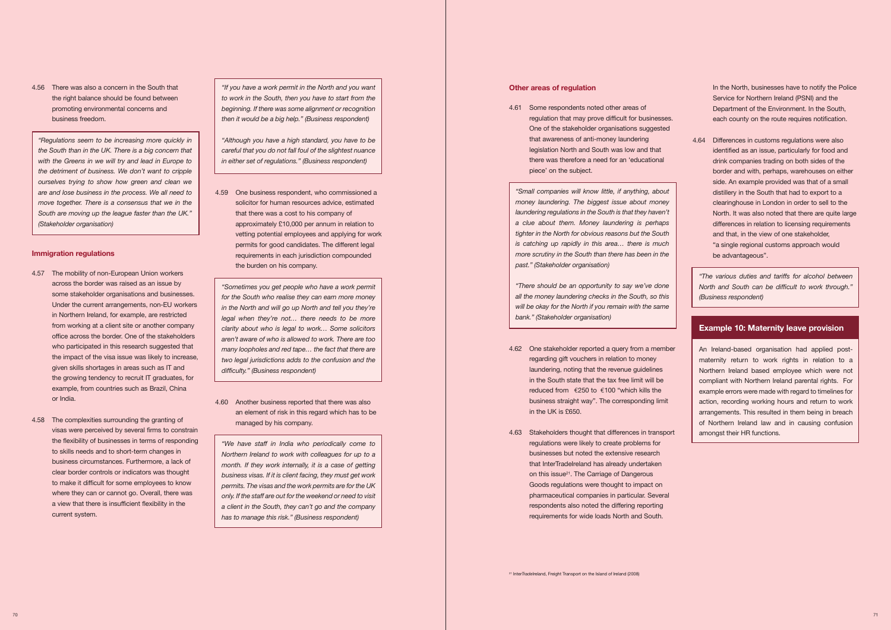4.56 There was also a concern in the South that the right balance should be found between promoting environmental concerns and business freedom.

 *"Regulations seem to be increasing more quickly in the South than in the UK. There is a big concern that the detriment of business. We don't want to cripple ourselves trying to show how green and clean we move together. There is a consensus that we in the South are moving up the league faster than the UK." with the Greens in we will try and lead in Europe to are and lose business in the process. We all need to (Stakeholder organisation)* 

## **Immigration regulations**

- across the border was raised as an issue by in Northern Ireland, for example, are restricted from working at a client site or another company who participated in this research suggested that 4.57 The mobility of non-European Union workers some stakeholder organisations and businesses. Under the current arrangements, non-EU workers office across the border. One of the stakeholders the impact of the visa issue was likely to increase, given skills shortages in areas such as IT and the growing tendency to recruit IT graduates, for example, from countries such as Brazil, China or India.
- visas were perceived by several firms to constrain clear border controls or indicators was thought to make it difficult for some employees to know where they can or cannot go. Overall, there was 4.58 The complexities surrounding the granting of the flexibility of businesses in terms of responding to skills needs and to short-term changes in business circumstances. Furthermore, a lack of a view that there is insufficient flexibility in the current system.

 *to work in the South, then you have to start from the beginning. If there was some alignment or recognition "If you have a work permit in the North and you want then it would be a big help." (Business respondent)* 

 *"Although you have a high standard, you have to be careful that you do not fall foul of the slightest nuance in either set of regulations." (Business respondent)* 

 that there was a cost to his company of permits for good candidates. The different legal 4.59 One business respondent, who commissioned a solicitor for human resources advice, estimated approximately £10,000 per annum in relation to vetting potential employees and applying for work requirements in each jurisdiction compounded the burden on his company.

 *"Sometimes you get people who have a work permit for the South who realise they can earn more money in the North and will go up North and tell you they're clarity about who is legal to work… Some solicitors aren't aware of who is allowed to work. There are too two legal jurisdictions adds to the confusion and the legal when they're not… there needs to be more many loopholes and red tape… the fact that there are difficulty." (Business respondent)* 

 4.60 Another business reported that there was also an element of risk in this regard which has to be managed by his company.

 *"We have staff in India who periodically come to business visas. If it is client facing, they must get work permits. The visas and the work permits are for the UK only. If the staff are out for the weekend or need to visit Northern Ireland to work with colleagues for up to a month. If they work internally, it is a case of getting a client in the South, they can't go and the company has to manage this risk." (Business respondent)* 

 regulation that may prove difficult for businesses. that awareness of anti-money laundering piece' on the subject. 4.61 Some respondents noted other areas of One of the stakeholder organisations suggested legislation North and South was low and that there was therefore a need for an 'educational

 *"Small companies will know little, if anything, about money laundering. The biggest issue about money laundering regulations in the South is that they haven't tighter in the North for obvious reasons but the South is catching up rapidly in this area… there is much more scrutiny in the South than there has been in the a clue about them. Money laundering is perhaps past." (Stakeholder organisation)* 

 *all the money laundering checks in the South, so this will be okay for the North if you remain with the same "There should be an opportunity to say we've done bank." (Stakeholder organisation)* 

- 4.62 One stakeholder reported a query from a member in the South state that the tax free limit will be reduced from €£250 to €100 "which kills the regarding gift vouchers in relation to money laundering, noting that the revenue guidelines business straight way". The corresponding limit in the UK is £650.
- 4.63 Stakeholders thought that differences in transport that InterTradeIreland has already undertaken Goods regulations were thought to impact on pharmaceutical companies in particular. Several respondents also noted the differing reporting regulations were likely to create problems for businesses but noted the extensive research on this issue<sup>21</sup>. The Carriage of Dangerous requirements for wide loads North and South.

 Service for Northern Ireland (PSNI) and the In the North, businesses have to notify the Police Department of the Environment. In the South, each county on the route requires notification.

 side. An example provided was that of a small distillery in the South that had to export to a clearinghouse in London in order to sell to the North. It was also noted that there are quite large 4.64 Differences in customs regulations were also identified as an issue, particularly for food and drink companies trading on both sides of the border and with, perhaps, warehouses on either differences in relation to licensing requirements and that, in the view of one stakeholder, "a single regional customs approach would be advantageous".

 *"The various duties and tariffs for alcohol between North and South can be difficult to work through." (Business respondent)* 

# **Example 10: Maternity leave provision**

 maternity return to work rights in relation to a compliant with Northern Ireland parental rights. For example errors were made with regard to timelines for action, recording working hours and return to work arrangements. This resulted in them being in breach of Northern Ireland law and in causing confusion An Ireland-based organisation had applied post-Northern Ireland based employee which were not amongst their HR functions.

## **Other areas of regulation**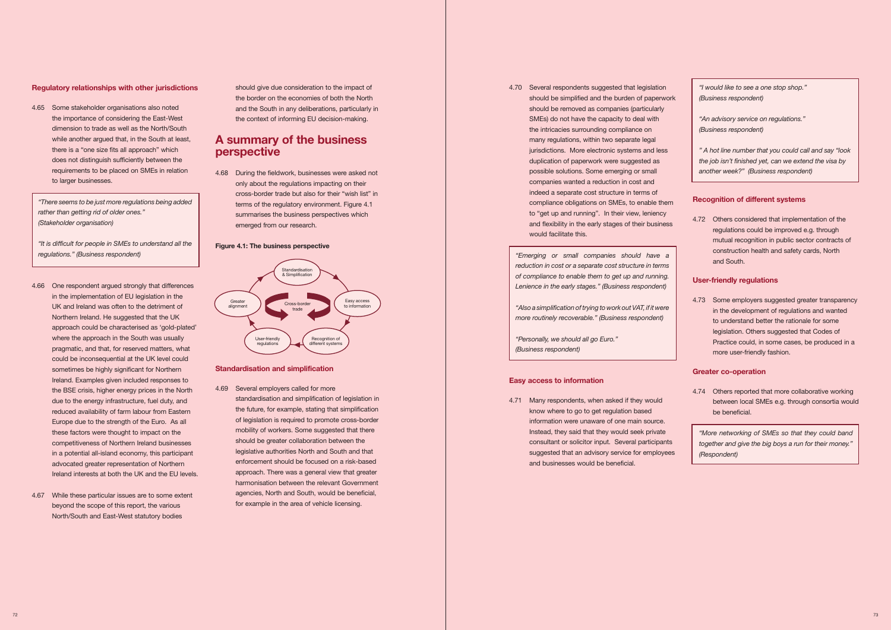### **Regulatory relationships with other jurisdictions**

 the importance of considering the East-West dimension to trade as well as the North/South there is a "one size fits all approach" which 4.65 Some stakeholder organisations also noted while another argued that, in the South at least, does not distinguish sufficiently between the requirements to be placed on SMEs in relation to larger businesses.

 *rather than getting rid of older ones." "There seems to be just more regulations being added (Stakeholder organisation)* 

*"It is difficult for people in SMEs to understand all the regulations." (Business respondent)* 

- Northern Ireland. He suggested that the UK approach could be characterised as 'gold-plated' where the approach in the South was usually pragmatic, and that, for reserved matters, what Ireland. Examples given included responses to due to the energy infrastructure, fuel duty, and reduced availability of farm labour from Eastern Europe due to the strength of the Euro. As all these factors were thought to impact on the in a potential all-island economy, this participant 4.66 One respondent argued strongly that differences in the implementation of EU legislation in the UK and Ireland was often to the detriment of could be inconsequential at the UK level could sometimes be highly significant for Northern the BSE crisis, higher energy prices in the North competitiveness of Northern Ireland businesses advocated greater representation of Northern Ireland interests at both the UK and the EU levels.
- 4.67 While these particular issues are to some extent North/South and East-West statutory bodies beyond the scope of this report, the various

 the border on the economies of both the North and the South in any deliberations, particularly in should give due consideration to the impact of the context of informing EU decision-making.

# **A summary of the business perspective**

 only about the regulations impacting on their terms of the regulatory environment. Figure 4.1 summarises the business perspectives which 4.68 During the fieldwork, businesses were asked not cross-border trade but also for their "wish list" in emerged from our research.

 of legislation is required to promote cross-border legislative authorities North and South and that enforcement should be focused on a risk-based approach. There was a general view that greater harmonisation between the relevant Government agencies, North and South, would be beneficial, 4.69 Several employers called for more standardisation and simplification of legislation in the future, for example, stating that simplification mobility of workers. Some suggested that there should be greater collaboration between the for example in the area of vehicle licensing.

 4.70 Several respondents suggested that legislation should be simplified and the burden of paperwork SMEs) do not have the capacity to deal with jurisdictions. More electronic systems and less companies wanted a reduction in cost and and flexibility in the early stages of their business should be removed as companies (particularly the intricacies surrounding compliance on many regulations, within two separate legal duplication of paperwork were suggested as possible solutions. Some emerging or small indeed a separate cost structure in terms of compliance obligations on SMEs, to enable them to "get up and running". In their view, leniency would facilitate this.

 *"Emerging or small companies should have a of compliance to enable them to get up and running. reduction in cost or a separate cost structure in terms Lenience in the early stages." (Business respondent)* 

 4.71 Many respondents, when asked if they would know where to go to get regulation based information were unaware of one main source. information were unaware of one main source. Instead, they said that they would seek private suggested that an advisory service for employees consultant or solicitor input. Several participants and businesses would be beneficial.

### **Figure 4.1: The business perspective**

 *" A hot line number that you could call and say "look the job isn't finished yet, can we extend the visa by another week?" (Business respondent)* 



 mutual recognition in public sector contracts of 4.72 Others considered that implementation of the regulations could be improved e.g. through construction health and safety cards, North and South.

### **Standardisation and simplification**

 4.73 Some employers suggested greater transparency to understand better the rationale for some Practice could, in some cases, be produced in a in the development of regulations and wanted legislation. Others suggested that Codes of more user-friendly fashion.

 4.74 Others reported that more collaborative working between local SMEs e.g. through consortia would be beneficial.

 *"More networking of SMEs so that they could band together and give the big boys a run for their money." (Respondent)* 

*"Also a simplification of trying to work out VAT, if it were more routinely recoverable." (Business respondent)* 

*"Personally, we should all go Euro." (Business respondent)* 

### **Easy access to information**

*"I would like to see a one stop shop." (Business respondent)* 

*"An advisory service on regulations." (Business respondent)* 

# **Recognition of different systems**

# **User-friendly regulations**

# **Greater co-operation**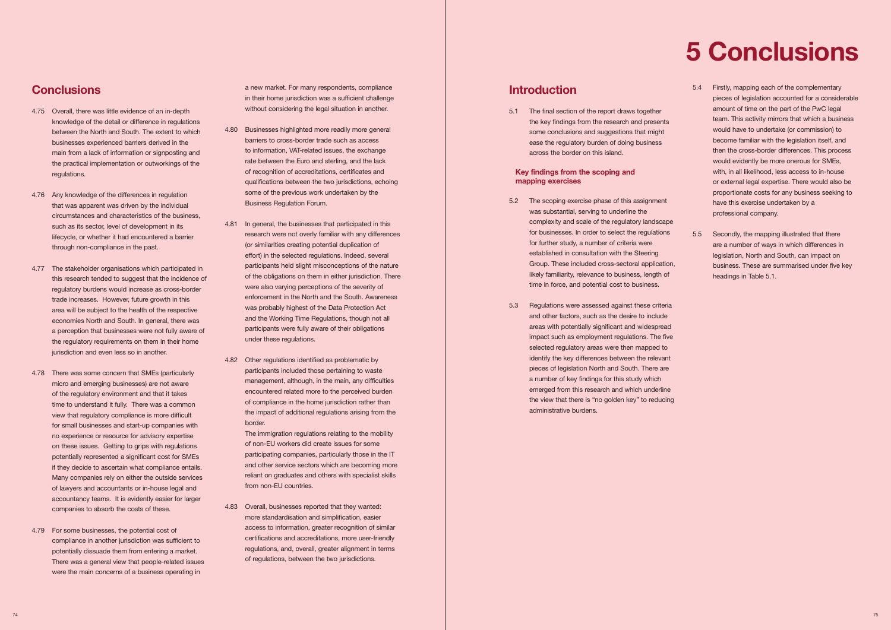# **Conclusions**

- 4.75 Overall, there was little evidence of an in-depth between the North and South. The extent to which main from a lack of information or signposting and the practical implementation or outworkings of the knowledge of the detail or difference in regulations businesses experienced barriers derived in the regulations.
- 4.76 Any knowledge of the differences in regulation circumstances and characteristics of the business, such as its sector, level of development in its lifecycle, or whether it had encountered a barrier that was apparent was driven by the individual through non-compliance in the past.
- this research tended to suggest that the incidence of regulatory burdens would increase as cross-border trade increases. However, future growth in this economies North and South. In general, there was 4.77 The stakeholder organisations which participated in area will be subject to the health of the respective a perception that businesses were not fully aware of the regulatory requirements on them in their home jurisdiction and even less so in another.
- 4.78 There was some concern that SMEs (particularly of the regulatory environment and that it takes time to understand it fully. There was a common for small businesses and start-up companies with no experience or resource for advisory expertise on these issues. Getting to grips with regulations potentially represented a significant cost for SMEs Many companies rely on either the outside services of lawyers and accountants or in-house legal and accountancy teams. It is evidently easier for larger companies to absorb the costs of these. micro and emerging businesses) are not aware view that regulatory compliance is more difficult if they decide to ascertain what compliance entails.
- 4.79 For some businesses, the potential cost of There was a general view that people-related issues compliance in another jurisdiction was sufficient to potentially dissuade them from entering a market. were the main concerns of a business operating in

 in their home jurisdiction was a sufficient challenge without considering the legal situation in another. a new market. For many respondents, compliance

- barriers to cross-border trade such as access rate between the Euro and sterling, and the lack qualifications between the two jurisdictions, echoing some of the previous work undertaken by the 4.80 Businesses highlighted more readily more general to information, VAT-related issues, the exchange of recognition of accreditations, certificates and Business Regulation Forum.
- research were not overly familiar with any differences participants held slight misconceptions of the nature of the obligations on them in either jurisdiction. There were also varying perceptions of the severity of was probably highest of the Data Protection Act and the Working Time Regulations, though not all participants were fully aware of their obligations 4.81 In general, the businesses that participated in this (or similarities creating potential duplication of effort) in the selected regulations. Indeed, several enforcement in the North and the South. Awareness under these regulations.
- management, although, in the main, any difficulties encountered related more to the perceived burden of compliance in the home jurisdiction rather than the impact of additional regulations arising from the 4.82 Other regulations identified as problematic by participants included those pertaining to waste border.

 participating companies, particularly those in the IT reliant on graduates and others with specialist skills The immigration regulations relating to the mobility of non-EU workers did create issues for some and other service sectors which are becoming more from non-EU countries.

 4.83 Overall, businesses reported that they wanted: more standardisation and simplification, easier access to information, greater recognition of similar certifications and accreditations, more user-friendly regulations, and, overall, greater alignment in terms of regulations, between the two jurisdictions.

 5.1 The final section of the report draws together the key findings from the research and presents some conclusions and suggestions that might ease the regulatory burden of doing business across the border on this island.

- complexity and scale of the regulatory landscape for businesses. In order to select the regulations established in consultation with the Steering 5.2 The scoping exercise phase of this assignment was substantial, serving to underline the for further study, a number of criteria were Group. These included cross-sectoral application, likely familiarity, relevance to business, length of time in force, and potential cost to business.
- and other factors, such as the desire to include impact such as employment regulations. The five selected regulatory areas were then mapped to pieces of legislation North and South. There are a number of key findings for this study which the view that there is "no golden key" to reducing 5.3 Regulations were assessed against these criteria areas with potentially significant and widespread identify the key differences between the relevant emerged from this research and which underline administrative burdens.
- pieces of legislation accounted for a considerable amount of time on the part of the PwC legal would have to undertake (or commission) to become familiar with the legislation itself, and with, in all likelihood, less access to in-house or external legal expertise. There would also be proportionate costs for any business seeking to 5.4 Firstly, mapping each of the complementary team. This activity mirrors that which a business then the cross-border differences. This process would evidently be more onerous for SMEs, have this exercise undertaken by a professional company.
- legislation, North and South, can impact on business. These are summarised under five key 5.5 Secondly, the mapping illustrated that there are a number of ways in which differences in headings in Table 5.1.

# **Introduction**

# **Key findings from the scoping and mapping exercises**

# **5 Conclusions**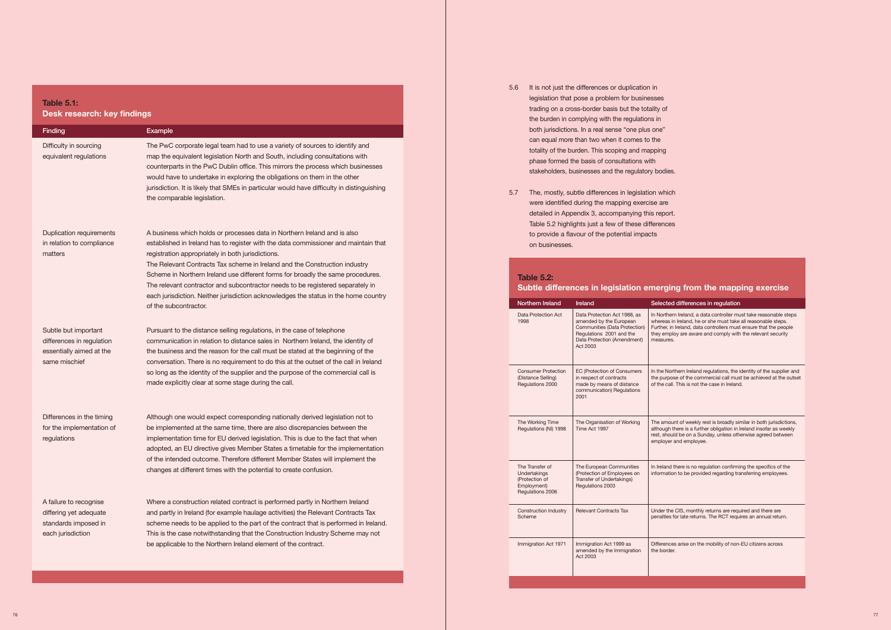### A business which holds or processes data in Northern Ireland and is also established in Ireland has to register with the data commissioner and maintain that registration appropriately in  $\mathbf{u}$ **The Relevant Contracts Tax scheme in Ireland and the Construction industry Scheme in Northern Ireland use different forms for broadly the same procedures. The relevant contractor is a same procedures. The relevant contrac Table 5.1:**

| Finding                                                                                        | Example                                                                                                                                                                                                                                                                                                                                                                                                                                                                                                                                                                                 |
|------------------------------------------------------------------------------------------------|-----------------------------------------------------------------------------------------------------------------------------------------------------------------------------------------------------------------------------------------------------------------------------------------------------------------------------------------------------------------------------------------------------------------------------------------------------------------------------------------------------------------------------------------------------------------------------------------|
| Difficulty in sourcing<br>equivalent regulations                                               | The PwC corporate legal team had to use a variety of sources to identify and<br>map the equivalent legislation North and South, including consultations with<br>counterparts in the PwC Dublin office. This mirrors the process which businesses<br>would have to undertake in exploring the obligations on them in the other<br>jurisdiction. It is likely that SMEs in particular would have difficulty in distinguishing<br>the comparable legislation.                                                                                                                              |
| <b>Duplication requirements</b><br>in relation to compliance<br>matters                        | A business which holds or processes data in Northern Ireland and is also<br>established in Ireland has to register with the data commissioner and maintain that<br>registration appropriately in both jurisdictions.<br>The Relevant Contracts Tax scheme in Ireland and the Construction industry<br>Scheme in Northern Ireland use different forms for broadly the same procedures.<br>The relevant contractor and subcontractor needs to be registered separately in<br>each jurisdiction. Neither jurisdiction acknowledges the status in the home country<br>of the subcontractor. |
| Subtle but important<br>differences in regulation<br>essentially aimed at the<br>same mischief | Pursuant to the distance selling regulations, in the case of telephone<br>communication in relation to distance sales in Northern Ireland, the identity of<br>the business and the reason for the call must be stated at the beginning of the<br>conversation. There is no requirement to do this at the outset of the call in Ireland<br>so long as the identity of the supplier and the purpose of the commercial call is<br>made explicitly clear at some stage during the call.                                                                                                     |
| Differences in the timing<br>for the implementation of<br>regulations                          | Although one would expect corresponding nationally derived legislation not to<br>be implemented at the same time, there are also discrepancies between the<br>implementation time for EU derived legislation. This is due to the fact that when<br>adopted, an EU directive gives Member States a timetable for the implementation<br>of the intended outcome. Therefore different Member States will implement the<br>changes at different times with the potential to create confusion.                                                                                               |
| A failure to recognise<br>differing yet adequate<br>standards imposed in<br>each jurisdiction  | Where a construction related contract is performed partly in Northern Ireland<br>and partly in Ireland (for example haulage activities) the Relevant Contracts Tax<br>scheme needs to be applied to the part of the contract that is performed in Ireland.<br>This is the case notwithstanding that the Construction Industry Scheme may not<br>be applicable to the Northern Ireland element of the contract.                                                                                                                                                                          |

# **Table 5.2:**

| <b>Northern Ireland</b>                                                              | Ireland                                                                                                                                                         | Selected differences in regulation                                                                                                                                                                                                                                                  |
|--------------------------------------------------------------------------------------|-----------------------------------------------------------------------------------------------------------------------------------------------------------------|-------------------------------------------------------------------------------------------------------------------------------------------------------------------------------------------------------------------------------------------------------------------------------------|
| Data Protection Act<br>1998                                                          | Data Protection Act 1988, as<br>amended by the European<br>Communities (Data Protection)<br>Regulations 2001 and the<br>Data Protection (Amendment)<br>Act 2003 | In Northern Ireland, a data controller must take reasonable steps<br>whereas in Ireland, he or she must take all reasonable steps.<br>Further, in Ireland, data controllers must ensure that the people<br>they employ are aware and comply with the relevant security<br>measures. |
| <b>Consumer Protection</b><br>(Distance Selling)<br>Regulations 2000                 | <b>EC (Protection of Consumers</b><br>in respect of contracts<br>made by means of distance<br>communication) Regulations<br>2001                                | In the Northern Ireland regulations, the identity of the supplier and<br>the purpose of the commercial call must be achieved at the outse<br>of the call. This is not the case in Ireland.                                                                                          |
| The Working Time<br>Regulations (NI) 1998                                            | The Organisation of Working<br>Time Act 1997                                                                                                                    | The amount of weekly rest is broadly similar in both jurisdictions,<br>although there is a further obligation in Ireland insofar as weekly<br>rest, should be on a Sunday, unless otherwise agreed between<br>employer and employee.                                                |
| The Transfer of<br>Undertakings<br>(Protection of<br>Employment)<br>Regulations 2006 | The European Communities<br>(Protection of Employees on<br>Transfer of Undertakings)<br>Regulations 2003                                                        | In Ireland there is no regulation confirming the specifics of the<br>information to be provided regarding transferring employees.                                                                                                                                                   |
| <b>Construction Industry</b><br>Scheme                                               | <b>Relevant Contracts Tax</b>                                                                                                                                   | Under the CIS, monthly returns are required and there are<br>penalties for late returns. The RCT requires an annual return.                                                                                                                                                         |
| Immigration Act 1971                                                                 | Immigration Act 1999 as<br>amended by the Immigration<br>Act 2003                                                                                               | Differences arise on the mobility of non-EU citizens across<br>the border.                                                                                                                                                                                                          |

- 5.6 It is not just the differences or duplication in legislation that pose a problem for businesses trading on a cross-border basis but the totality of the burden in complying with the regulations in both jurisdictions. In a real sense "one plus one" can equal more than two when it comes to the totality of the burden. This scoping and mapping phase formed the basis of consultations with stakeholders, businesses and the regulatory bodies.
- 5.7 The, mostly, subtle differences in legislation which were identified during the mapping exercise are detailed in Appendix 3, accompanying this report. Table 5.2 highlights just a few of these differences to provide a flavour of the potential impacts on businesses.

# **Subtle differences in legislation emerging from the mapping exercise**

## differences in regulation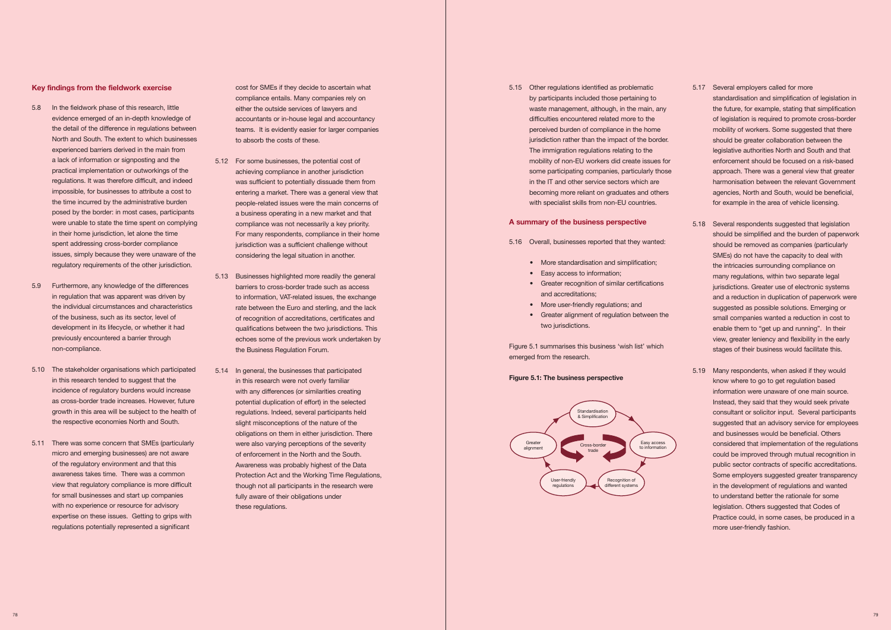- 5.16 Overall, businesses reported that they wanted:
	- More standardisation and simplification;
	- Easy access to information;
	- Greater recognition of similar certifications and accreditations;
	- More user-friendly regulations; and
	- Greater alignment of regulation between the two jurisdictions.

### **Key findings from the fieldwork exercise**

- 5.8 In the fieldwork phase of this research, little the detail of the difference in regulations between North and South. The extent to which businesses experienced barriers derived in the main from regulations. It was therefore difficult, and indeed posed by the border: in most cases, participants were unable to state the time spent on complying spent addressing cross-border compliance issues, simply because they were unaware of the evidence emerged of an in-depth knowledge of a lack of information or signposting and the practical implementation or outworkings of the impossible, for businesses to attribute a cost to the time incurred by the administrative burden in their home jurisdiction, let alone the time regulatory requirements of the other jurisdiction.
- in regulation that was apparent was driven by the individual circumstances and characteristics of the business, such as its sector, level of development in its lifecycle, or whether it had 5.9 Furthermore, any knowledge of the differences previously encountered a barrier through non-compliance.
- 5.10 The stakeholder organisations which participated in this research tended to suggest that the incidence of regulatory burdens would increase as cross-border trade increases. However, future growth in this area will be subject to the health of the respective economies North and South.
- 5.11 There was some concern that SMEs (particularly of the regulatory environment and that this for small businesses and start up companies with no experience or resource for advisory micro and emerging businesses) are not aware awareness takes time. There was a common view that regulatory compliance is more difficult expertise on these issues. Getting to grips with regulations potentially represented a significant

 either the outside services of lawyers and teams. It is evidently easier for larger companies to absorb the costs of these. cost for SMEs if they decide to ascertain what compliance entails. Many companies rely on accountants or in-house legal and accountancy

- 5.12 For some businesses, the potential cost of was sufficient to potentially dissuade them from entering a market. There was a general view that people-related issues were the main concerns of a business operating in a new market and that jurisdiction was a sufficient challenge without considering the legal situation in another. achieving compliance in another jurisdiction compliance was not necessarily a key priority. For many respondents, compliance in their home
- barriers to cross-border trade such as access rate between the Euro and sterling, and the lack 5.13 Businesses highlighted more readily the general to information, VAT-related issues, the exchange of recognition of accreditations, certificates and qualifications between the two jurisdictions. This echoes some of the previous work undertaken by the Business Regulation Forum.
- with any differences (or similarities creating potential duplication of effort) in the selected slight misconceptions of the nature of the were also varying perceptions of the severity of enforcement in the North and the South. Awareness was probably highest of the Data Protection Act and the Working Time Regulations, though not all participants in the research were 5.14 In general, the businesses that participated in this research were not overly familiar regulations. Indeed, several participants held obligations on them in either jurisdiction. There fully aware of their obligations under these regulations.

 5.15 Other regulations identified as problematic perceived burden of compliance in the home jurisdiction rather than the impact of the border. mobility of non-EU workers did create issues for some participating companies, particularly those in the IT and other service sectors which are becoming more reliant on graduates and others by participants included those pertaining to waste management, although, in the main, any difficulties encountered related more to the The immigration regulations relating to the with specialist skills from non-EU countries.

 Figure 5.1 summarises this business 'wish list' which emerged from the research.

### **Figure 5.1: The business perspective**

# of legislation is required to promote cross-border legislative authorities North and South and that enforcement should be focused on a risk-based approach. There was a general view that greater harmonisation between the relevant Government agencies, North and South, would be beneficial, 5.17 Several employers called for more standardisation and simplification of legislation in the future, for example, stating that simplification mobility of workers. Some suggested that there should be greater collaboration between the for example in the area of vehicle licensing.

- 5.18 Several respondents suggested that legislation should be simplified and the burden of paperwork SMEs) do not have the capacity to deal with and a reduction in duplication of paperwork were suggested as possible solutions. Emerging or small companies wanted a reduction in cost to enable them to "get up and running". In their view, greater leniency and flexibility in the early should be removed as companies (particularly the intricacies surrounding compliance on many regulations, within two separate legal jurisdictions. Greater use of electronic systems stages of their business would facilitate this.
- 5.19 Many respondents, when asked if they would know where to go to get regulation based information were unaware of one main source. information were unaware of one main source. Instead, they said that they would seek private suggested that an advisory service for employees could be improved through mutual recognition in public sector contracts of specific accreditations. Some employers suggested greater transparency to understand better the rationale for some Practice could, in some cases, be produced in a consultant or solicitor input. Several participants and businesses would be beneficial. Others considered that implementation of the regulations in the development of regulations and wanted legislation. Others suggested that Codes of more user-friendly fashion.

### **A summary of the business perspective**

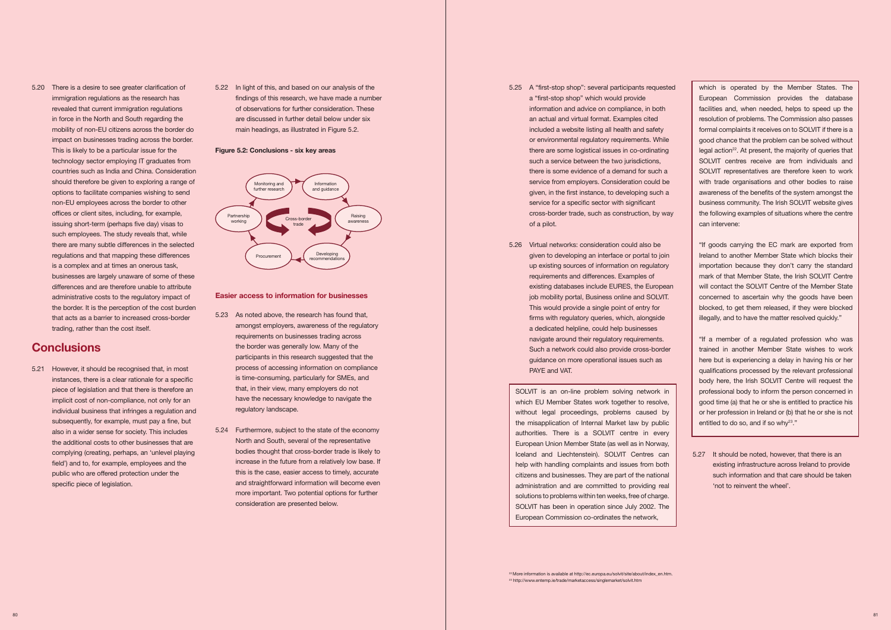findings of this research, we have made a number are discussed in further detail below under six 5.22 In light of this, and based on our analysis of the of observations for further consideration. These main headings, as illustrated in Figure 5.2.

 5.20 There is a desire to see greater clarification of revealed that current immigration regulations in force in the North and South regarding the mobility of non-EU citizens across the border do impact on businesses trading across the border. This is likely to be a particular issue for the countries such as India and China. Consideration options to facilitate companies wishing to send non-EU employees across the border to other offices or client sites, including, for example, such employees. The study reveals that, while is a complex and at times an onerous task, businesses are largely unaware of some of these administrative costs to the regulatory impact of the border. It is the perception of the cost burden that acts as a barrier to increased cross-border immigration regulations as the research has technology sector employing IT graduates from should therefore be given to exploring a range of issuing short-term (perhaps five day) visas to there are many subtle differences in the selected regulations and that mapping these differences differences and are therefore unable to attribute trading, rather than the cost itself.

 5.21 However, it should be recognised that, in most piece of legislation and that there is therefore an implicit cost of non-compliance, not only for an individual business that infringes a regulation and subsequently, for example, must pay a fine, but also in a wider sense for society. This includes public who are offered protection under the instances, there is a clear rationale for a specific the additional costs to other businesses that are complying (creating, perhaps, an 'unlevel playing field') and to, for example, employees and the specific piece of legislation.

## **Figure 5.2: Conclusions - six key areas**

# **Conclusions**

- participants in this research suggested that the that, in their view, many employers do not 5.23 As noted above, the research has found that, amongst employers, awareness of the regulatory requirements on businesses trading across the border was generally low. Many of the process of accessing information on compliance is time-consuming, particularly for SMEs, and have the necessary knowledge to navigate the regulatory landscape.
- 5.24 Furthermore, subject to the state of the economy bodies thought that cross-border trade is likely to increase in the future from a relatively low base. If this is the case, easier access to timely, accurate North and South, several of the representative and straightforward information will become even more important. Two potential options for further consideration are presented below.
- information and advice on compliance, in both included a website listing all health and safety or environmental regulatory requirements. While such a service between the two jurisdictions, there is some evidence of a demand for such a given, in the first instance, to developing such a 5.25 A "first-stop shop": several participants requested a "first-stop shop" which would provide an actual and virtual format. Examples cited there are some logistical issues in co-ordinating service from employers. Consideration could be service for a specific sector with significant cross-border trade, such as construction, by way of a pilot.
- given to developing an interface or portal to join up existing sources of information on regulatory job mobility portal, Business online and SOLVIT. guidance on more operational issues such as 5.26 Virtual networks: consideration could also be requirements and differences. Examples of existing databases include EURES, the European This would provide a single point of entry for firms with regulatory queries, which, alongside a dedicated helpline, could help businesses navigate around their regulatory requirements. Such a network could also provide cross-border PAYE and VAT.



# **Easier access to information for businesses**

 SOLVIT is an on-line problem solving network in which EU Member States work together to resolve, without legal proceedings, problems caused by the misapplication of Internal Market law by public European Union Member State (as well as in Norway, help with handling complaints and issues from both citizens and businesses. They are part of the national administration and are committed to providing real European Commission co-ordinates the network, authorities. There is a SOLVIT centre in every Iceland and Liechtenstein). SOLVIT Centres can solutions to problems within ten weeks, free of charge. SOLVIT has been in operation since July 2002. The

<sup>22</sup> More information is available at [http://ec.europa.eu/solvit/site/about/index\\_en.htm](http://ec.europa.eu/solvit/site/about/index_en.htm) 23 <http://www.entemp.ie/trade/marketaccess/singlemarket/solvit.htm>

 which is operated by the Member States. The facilities and, when needed, helps to speed up the resolution of problems. The Commission also passes formal complaints it receives on to SOLVIT if there is a good chance that the problem can be solved without legal action<sup>22</sup>. At present, the majority of queries that SOLVIT centres receive are from individuals and with trade organisations and other bodies to raise awareness of the benefits of the system amongst the business community. The Irish SOLVIT website gives the following examples of situations where the centre European Commission provides the database SOLVIT representatives are therefore keen to work can intervene:

 "If goods carrying the EC mark are exported from Ireland to another Member State which blocks their mark of that Member State, the Irish SOLVIT Centre will contact the SOLVIT Centre of the Member State blocked, to get them released, if they were blocked importation because they don't carry the standard concerned to ascertain why the goods have been illegally, and to have the matter resolved quickly."

 here but is experiencing a delay in having his or her qualifications processed by the relevant professional body here, the Irish SOLVIT Centre will request the professional body to inform the person concerned in good time (a) that he or she is entitled to practice his "If a member of a regulated profession who was trained in another Member State wishes to work or her profession in Ireland or (b) that he or she is not entitled to do so, and if so why23."

 5.27 It should be noted, however, that there is an existing infrastructure across Ireland to provide such information and that care should be taken 'not to reinvent the wheel'.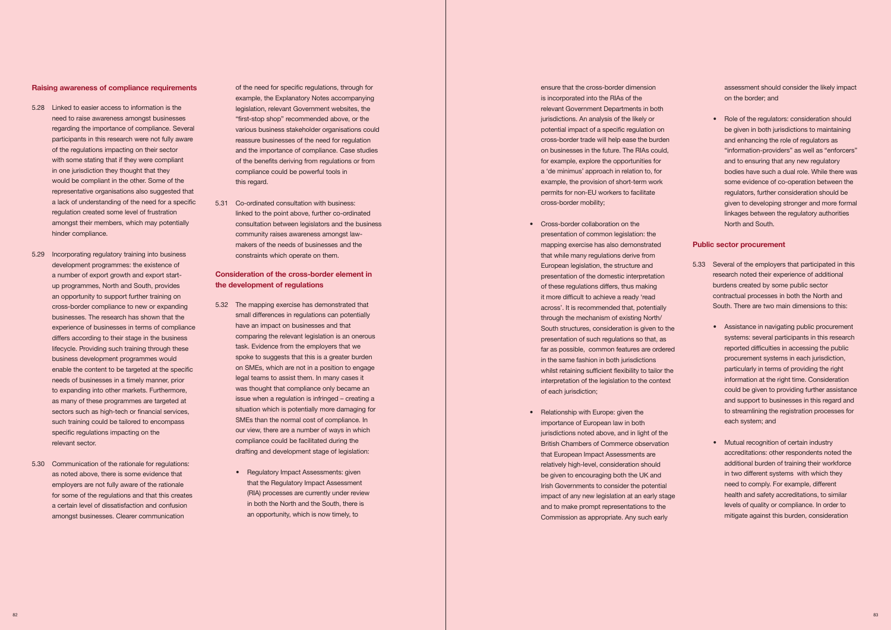### **Raising awareness of compliance requirements**

- 5.28 Linked to easier access to information is the participants in this research were not fully aware with some stating that if they were compliant in one jurisdiction they thought that they representative organisations also suggested that a lack of understanding of the need for a specific need to raise awareness amongst businesses regarding the importance of compliance. Several of the regulations impacting on their sector would be compliant in the other. Some of the regulation created some level of frustration amongst their members, which may potentially hinder compliance.
- development programmes: the existence of an opportunity to support further training on cross-border compliance to new or expanding businesses. The research has shown that the experience of businesses in terms of compliance differs according to their stage in the business needs of businesses in a timely manner, prior to expanding into other markets. Furthermore, as many of these programmes are targeted at sectors such as high-tech or financial services, 5.29 Incorporating regulatory training into business a number of export growth and export startup programmes, North and South, provides lifecycle. Providing such training through these business development programmes would enable the content to be targeted at the specific such training could be tailored to encompass specific regulations impacting on the relevant sector.
- 5.30 Communication of the rationale for regulations: as noted above, there is some evidence that a certain level of dissatisfaction and confusion employers are not fully aware of the rationale for some of the regulations and that this creates amongst businesses. Clearer communication

 example, the Explanatory Notes accompanying various business stakeholder organisations could of the need for specific regulations, through for legislation, relevant Government websites, the "first-stop shop" recommended above, or the reassure businesses of the need for regulation and the importance of compliance. Case studies of the benefits deriving from regulations or from compliance could be powerful tools in this regard.

 5.31 Co-ordinated consultation with business: linked to the point above, further co-ordinated consultation between legislators and the business community raises awareness amongst lawmakers of the needs of businesses and the constraints which operate on them.

- 5.32 The mapping exercise has demonstrated that have an impact on businesses and that comparing the relevant legislation is an onerous spoke to suggests that this is a greater burden was thought that compliance only became an situation which is potentially more damaging for SMEs than the normal cost of compliance. In our view, there are a number of ways in which small differences in regulations can potentially task. Evidence from the employers that we on SMEs, which are not in a position to engage legal teams to assist them. In many cases it issue when a regulation is infringed – creating a compliance could be facilitated during the drafting and development stage of legislation:
	- Regulatory Impact Assessments: given that the Regulatory Impact Assessment (RIA) processes are currently under review an opportunity, which is now timely, to in both the North and the South, there is

 is incorporated into the RIAs of the relevant Government Departments in both jurisdictions. An analysis of the likely or for example, explore the opportunities for a 'de minimus' approach in relation to, for permits for non-EU workers to facilitate ensure that the cross-border dimension potential impact of a specific regulation on cross-border trade will help ease the burden on businesses in the future. The RIAs could, example, the provision of short-term work cross-border mobility;

- • Cross-border collaboration on the presentation of common legislation: the that while many regulations derive from European legislation, the structure and presentation of the domestic interpretation it more difficult to achieve a ready 'read South structures, consideration is given to the far as possible, common features are ordered whilst retaining sufficient flexibility to tailor the interpretation of the legislation to the context mapping exercise has also demonstrated of these regulations differs, thus making across'. It is recommended that, potentially through the mechanism of existing North/ presentation of such regulations so that, as in the same fashion in both jurisdictions of each jurisdiction:
- Relationship with Europe: given the importance of European law in both British Chambers of Commerce observation that European Impact Assessments are relatively high-level, consideration should be given to encouraging both the UK and Irish Governments to consider the potential impact of any new legislation at an early stage jurisdictions noted above, and in light of the and to make prompt representations to the Commission as appropriate. Any such early

# **Consideration of the cross-border element in the development of regulations**

• Role of the regulators: consideration should be given in both jurisdictions to maintaining and enhancing the role of regulators as and to ensuring that any new regulatory bodies have such a dual role. While there was regulators, further consideration should be linkages between the regulatory authorities "information-providers" as well as "enforcers" some evidence of co-operation between the given to developing stronger and more formal North and South.

- burdens created by some public sector contractual processes in both the North and 5.33 Several of the employers that participated in this research noted their experience of additional South. There are two main dimensions to this:
	- Assistance in navigating public procurement reported difficulties in accessing the public systems: several participants in this research procurement systems in each jurisdiction, particularly in terms of providing the right information at the right time. Consideration could be given to providing further assistance and support to businesses in this regard and to streamlining the registration processes for each system; and
	- Mutual recognition of certain industry accreditations: other respondents noted the additional burden of training their workforce mitigate against this burden, consideration in two different systems with which they need to comply. For example, different health and safety accreditations, to similar levels of quality or compliance. In order to

assessment should consider the likely impact on the border; and

# **Public sector procurement**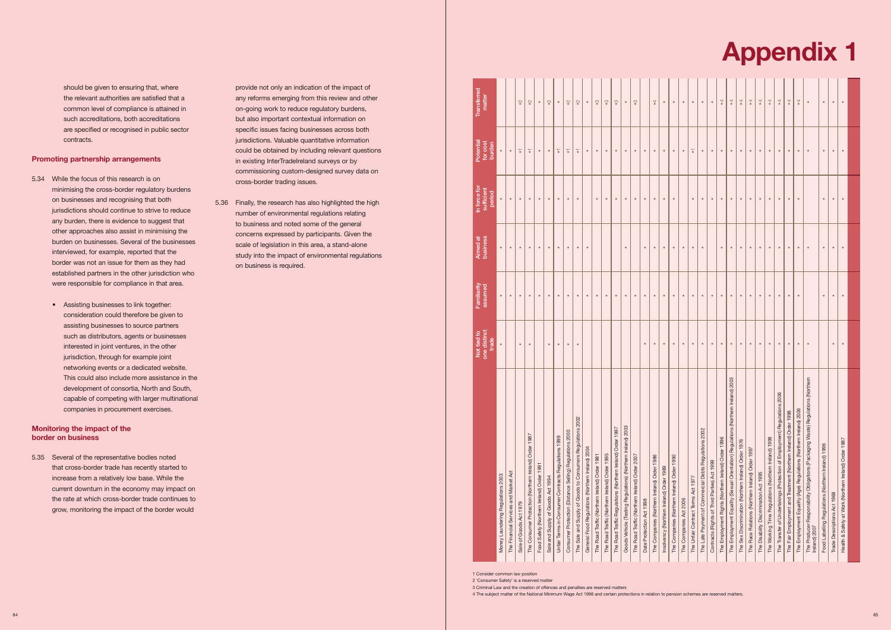should be given to ensuring that, where the relevant authorities are satisfied that a such accreditations, both accreditations common level of compliance is attained in are specified or recognised in public sector contracts.

# **Promoting partnership arrangements**

- 5.34 While the focus of this research is on any burden, there is evidence to suggest that burden on businesses. Several of the businesses established partners in the other jurisdiction who minimising the cross-border regulatory burdens on businesses and recognising that both jurisdictions should continue to strive to reduce other approaches also assist in minimising the interviewed, for example, reported that the border was not an issue for them as they had were responsible for compliance in that area.
	- Assisting businesses to link together: assisting businesses to source partners such as distributors, agents or businesses interested in joint ventures, in the other jurisdiction, through for example joint development of consortia, North and South, consideration could therefore be given to networking events or a dedicated website. This could also include more assistance in the capable of competing with larger multinational companies in procurement exercises.

 that cross-border trade has recently started to current downturn in the economy may impact on grow, monitoring the impact of the border would 5.35 Several of the representative bodies noted increase from a relatively low base. While the the rate at which cross-border trade continues to

 provide not only an indication of the impact of any reforms emerging from this review and other on-going work to reduce regulatory burdens, jurisdictions. Valuable quantitative information but also important contextual information on specific issues facing businesses across both could be obtained by including relevant questions in existing InterTradeIreland surveys or by commissioning custom-designed survey data on cross-border trading issues.

 5.36 Finally, the research has also highlighted the high scale of legislation in this area, a stand-alone study into the impact of environmental regulations number of environmental regulations relating to business and noted some of the general concerns expressed by participants. Given the on business is required.

# **Monitoring the impact of the border on business**



|                                                                                                  | one distinct<br>Not tied to<br>trade | Familiarity<br>assumed | business<br>Aimed at | In force for<br>sufficient<br>period | Potential<br>for cost<br>burden | Transferred<br>matter  |
|--------------------------------------------------------------------------------------------------|--------------------------------------|------------------------|----------------------|--------------------------------------|---------------------------------|------------------------|
| Money Laundering Regulations 2003                                                                | $\bullet$                            | $\bullet$              | $\bullet$            | $\bullet$                            | $\bullet$                       |                        |
| The Financial Services and Market Act                                                            |                                      | ٠                      | $\bullet$            | $\bullet$                            |                                 |                        |
| Sale of Goods Act 1979                                                                           | $\bullet$                            | $\bullet$              | $\bullet$            | $\bullet$                            | ᢑ                               | $\mathbf{S}$           |
| The Consumer Protection (Northern Ireland) Order 1987                                            | $\bullet$                            | $\bullet$              | $\bullet$            | $\bullet$                            | $\overline{\bullet}$            | $\mathbf{S}$           |
| Food Safety (Northern Ireland) Order 1991                                                        |                                      | $\bullet$              | $\bullet$            | $\bullet$                            | $\bullet$                       | $\bullet$              |
| Sale and Supply of Goods Act 1994                                                                | $\bullet$                            | $\bullet$              | $\bullet$            | $\bullet$                            | $\bullet$                       | $\tilde{\phantom{0}}$  |
| Unfair Terms in Consumer Contracts Regulations 1999                                              | $\bullet$                            | $\bullet$              | $\bullet$            | $\bullet$                            | 7                               | $\bullet$              |
| Consumer Protection (Distance Selling) Regulations 2000                                          | $\bullet$                            | $\bullet$              | $\bullet$            | $\bullet$                            | 7                               | $\tilde{\phantom{0}}$  |
| The Sale and Supply of Goods to Consumers Regulations 2002                                       | $\bullet$                            | $\bullet$              | $\bullet$            | $\bullet$                            |                                 | $\degree$              |
| General Food Regulations (Northern Ireland) 2004                                                 |                                      | $\bullet$              | $\bullet$            |                                      | $\bullet$                       | $\bullet$              |
| The Road Traffic (Northern Ireland) Order 1981                                                   |                                      | $\bullet$              |                      | $\bullet$                            | $\bullet$                       | $\cdot$ 3              |
| The Road Traffic (Northern Ireland) Order 1995                                                   |                                      | $\bullet$              |                      | $\bullet$                            | $\bullet$                       | $\cdot$ 3              |
| The Road Traffic Regulations (Northern Ireland) Order 1997                                       |                                      | $\bullet$              |                      | $\bullet$                            | $\bullet$                       | $\mathbf{C}^{\bullet}$ |
| Goods Vehicle (Testing Regulations) (Northern Ireland) 2003                                      |                                      | $\bullet$              | $\bullet$            | $\bullet$                            | $\bullet$                       | $\bullet$              |
| The Road Traffic (Northern Ireland) Order 2007                                                   |                                      | $\bullet$              |                      | $\bullet$                            | $\bullet$                       | $\mathbf{C}$           |
| Date Protection Act 1998                                                                         | $\bullet$                            | $\bullet$              | $\bullet$            | $\bullet$                            | $\bullet$                       |                        |
| The Companies (Northern Ireland) Order 1986                                                      | $\bullet$                            | $\bullet$              | $\bullet$            | $\bullet$                            | $\bullet$                       | $\ddot{ }$             |
| Insolvency (Northern Ireland) Order 1989                                                         | $\bullet$                            | $\bullet$              | $\bullet$            | $\bullet$                            | $\bullet$                       | $\bullet$              |
| The Companies (Northern Ireland) Order 1990                                                      | $\bullet$                            | $\bullet$              | $\bullet$            | $\bullet$                            | $\bullet$                       | $\bullet$              |
| The Companies Act 2006                                                                           | $\bullet$                            | $\bullet$              | $\bullet$            |                                      | $\bullet$                       | $\bullet$              |
| The Unfair Contract Tems Act 1977                                                                | $\bullet$                            | $\bullet$              | $\bullet$            | $\bullet$                            | $\overline{\bullet}$            | $\bullet$              |
| The Late Payment of Commercial Debts Regulations 2002                                            | $\bullet$                            | $\bullet$              | $\bullet$            | $\bullet$                            | $\bullet$                       | $\bullet$              |
| Contracts (Rights of Third Parties) Act 1999                                                     | $\bullet$                            | $\bullet$              |                      | $\bullet$                            | $\bullet$                       | $\bullet$              |
| The Employment Rights (Northern Ireland) Order 1996                                              | $\bullet$                            | $\bullet$              | $\bullet$            | $\bullet$                            | $\bullet$                       | $\lambda$              |
| ern Ireland) 2003<br>The Employment Equality (Sexual Orientation) Regulations (North             | $\bullet$                            | $\bullet$              | $\bullet$            | $\bullet$                            | $\bullet$                       | $\ddot{4}$             |
| The Sex Discrimination (Northern Ireland) Order 1976                                             | $\bullet$                            | $\bullet$              | $\bullet$            | $\bullet$                            | $\bullet$                       | $\ddot{ }$             |
| The Race Relations (Northern Ireland) Order 1997                                                 | $\bullet$                            | $\bullet$              | $\bullet$            | $\bullet$                            | $\bullet$                       | $\ddot{ }$             |
| The Disability Discrimination Act 1995                                                           | $\bullet$                            | $\bullet$              | $\bullet$            | $\bullet$                            | $\bullet$                       | $\ddot{\phantom{1}}$   |
| The Working Time Regulations (Northern Ireland) 1998                                             | $\bullet$                            | $\bullet$              | $\bullet$            | $\bullet$                            | $\bullet$                       | $\bullet$              |
| The Transfer of Undertakings (Protection of Employment) Regulations 2006                         | $\bullet$                            | $\bullet$              | $\bullet$            | $\bullet$                            | $\bullet$                       | $\ddot{4}$             |
| The Fair Employment and Treatment (Northern Ireland) Order 1998                                  | $\bullet$                            | $\bullet$              | $\bullet$            | $\bullet$                            | $\bullet$                       | $\ddot{ }$             |
| The Employment Equality (Age) Regulations (Northern Ireland) 2006                                | $\bullet$                            | $\bullet$              | $\bullet$            | $\bullet$                            | $\bullet$                       | $\ddot{\phantom{1}}$   |
| The Producer Responsibility Obligations (Packaging Waste) Regulations (Northern<br>Ireland) 2007 | $\bullet$                            |                        | $\bullet$            |                                      | $\bullet$                       | $\bullet$              |
| Food Labelling Regulations (Northern Ireland) 1996                                               |                                      | $\bullet$              | $\bullet$            | $\bullet$                            | $\bullet$                       | $\bullet$              |
| Trade Descriptions Act 1968                                                                      | $\bullet$                            | $\bullet$              | $\bullet$            | $\bullet$                            | $\bullet$                       | $\bullet$              |
| Health & Safety at Work (Northern Ireland) Order 1987                                            | $\bullet$                            | $\bullet$              | $\bullet$            | $\bullet$                            | $\bullet$                       | $\bullet$              |
|                                                                                                  |                                      |                        |                      |                                      |                                 |                        |

1 Consider common law position

2 'Consumer Safety' is a reserved matter

3 Criminal Law and the creation of offences and penalties are reserved matters

4 The subject matter of the National Minimum Wage Act 1998 and certain protections in relation to pension schemes are reserved matters.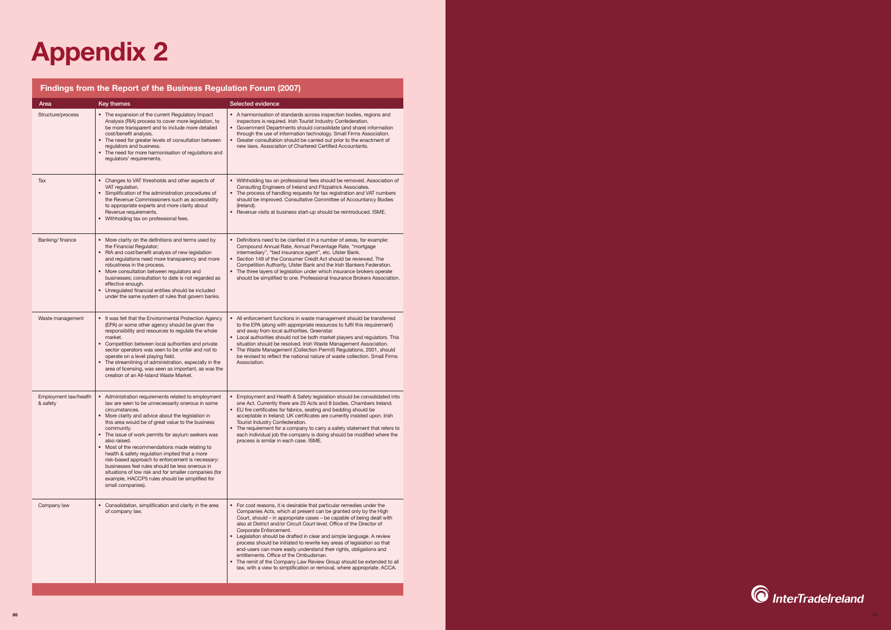

# **Findings from the Report of the Business Regulation Forum (2007)**

# **Appendix 2**

| Area                              | Key themes                                                                                                                                                                                                                                                                                                                                                                                                                                                                                                                                                                                                                                                          | Selected evidence                                                                                                                                                                                                                                                                                                                                                                                                                                                                                                                                                                                                                                                                                                                              |
|-----------------------------------|---------------------------------------------------------------------------------------------------------------------------------------------------------------------------------------------------------------------------------------------------------------------------------------------------------------------------------------------------------------------------------------------------------------------------------------------------------------------------------------------------------------------------------------------------------------------------------------------------------------------------------------------------------------------|------------------------------------------------------------------------------------------------------------------------------------------------------------------------------------------------------------------------------------------------------------------------------------------------------------------------------------------------------------------------------------------------------------------------------------------------------------------------------------------------------------------------------------------------------------------------------------------------------------------------------------------------------------------------------------------------------------------------------------------------|
| Structure/process                 | • The expansion of the current Regulatory Impact<br>Analysis (RIA) process to cover more legislation, to<br>be more transparent and to include more detailed<br>cost/benefit analysis.<br>The need for greater levels of consultation between<br>regulators and business.<br>The need for more harmonisation of regulations and<br>regulators' requirements.                                                                                                                                                                                                                                                                                                        | • A harmonisation of standards across inspection bodies, regions and<br>inspectors is required. Irish Tourist Industry Confederation.<br>• Government Departments should consolidate (and share) information<br>through the use of information technology. Small Firms Association.<br>Greater consultation should be carried out prior to the enactment of<br>new laws. Association of Chartered Certified Accountants.                                                                                                                                                                                                                                                                                                                       |
| Tax                               | Changes to VAT thresholds and other aspects of<br>VAT regulation.<br>Simplification of the administration procedures of<br>the Revenue Commissioners such as accessibility<br>to appropriate experts and more clarity about<br>Revenue requirements.<br>• Withholding tax on professional fees.                                                                                                                                                                                                                                                                                                                                                                     | Withholding tax on professional fees should be removed. Association of<br>Consulting Engineers of Ireland and Fitzpatrick Associates.<br>The process of handling requests for tax registration and VAT numbers<br>should be improved. Consultative Committee of Accountancy Bodies<br>(Ireland).<br>Revenue visits at business start-up should be reintroduced. ISME.                                                                                                                                                                                                                                                                                                                                                                          |
| Banking/finance                   | • More clarity on the definitions and terms used by<br>the Financial Regulator;<br>RIA and cost/benefit analysis of new legislation<br>$\bullet$<br>and regulations need more transparency and more<br>robustness in the process.<br>• More consultation between regulators and<br>businesses; consultation to date is not regarded as<br>effective enough.<br>• Unregulated financial entities should be included<br>under the same system of rules that govern banks.                                                                                                                                                                                             | • Definitions need to be clarified d in a number of areas, for example:<br>Compound Annual Rate, Annual Percentage Rate, "mortgage<br>intermediary", "tied insurance agent", etc. Ulster Bank.<br>• Section 149 of the Consumer Credit Act should be reviewed. The<br>Competition Authority, Ulster Bank and the Irish Bankers Federation.<br>The three layers of legislation under which insurance brokers operate<br>should be simplified to one. Professional Insurance Brokers Association.                                                                                                                                                                                                                                                |
| Waste management                  | It was felt that the Environmental Protection Agency<br>(EPA) or some other agency should be given the<br>responsibility and resources to regulate the whole<br>market.<br>• Competition between local authorities and private<br>sector operators was seen to be unfair and not to<br>operate on a level playing field.<br>The streamlining of administration, especially in the<br>area of licensing, was seen as important, as was the<br>creation of an All-Island Waste Market.                                                                                                                                                                                | • All enforcement functions in waste management should be transferred<br>to the EPA (along with appropriate resources to fulfil this requirement)<br>and away from local authorities. Greenstar.<br>Local authorities should not be both market players and regulators. This<br>situation should be resolved. Irish Waste Management Association.<br>The Waste Management (Collection Permit) Regulations, 2001, should<br>be revised to reflect the national nature of waste collection. Small Firms<br>Association.                                                                                                                                                                                                                          |
| Employment law/health<br>& safety | • Administration requirements related to employment<br>law are seen to be unnecessarily onerous in some<br>circumstances.<br>• More clarity and advice about the legislation in<br>this area would be of great value to the business<br>community.<br>• The issue of work permits for asylum seekers was<br>also raised.<br>• Most of the recommendations made relating to<br>health & safety regulation implied that a more<br>risk-based approach to enforcement is necessary:<br>businesses feel rules should be less onerous in<br>situations of low risk and for smaller companies (for<br>example, HACCP5 rules should be simplified for<br>small companies). | • Employment and Health & Safety legislation should be consolidated into<br>one Act. Currently there are 25 Acts and 8 bodies. Chambers Ireland.<br>• EU fire certificates for fabrics, seating and bedding should be<br>acceptable in Ireland; UK certificates are currently insisted upon. Irish<br>Tourist Industry Confederation.<br>• The requirement for a company to carry a safety statement that refers to<br>each individual job the company is doing should be modified where the<br>process is similar in each case. ISME.                                                                                                                                                                                                         |
| Company law                       | • Consolidation, simplification and clarity in the area<br>of company law.                                                                                                                                                                                                                                                                                                                                                                                                                                                                                                                                                                                          | • For cost reasons, it is desirable that particular remedies under the<br>Companies Acts, which at present can be granted only by the High<br>Court, should – in appropriate cases – be capable of being dealt with<br>also at District and/or Circuit Court level. Office of the Director of<br>Corporate Enforcement.<br>• Legislation should be drafted in clear and simple language. A review<br>process should be initiated to rewrite key areas of legislation so that<br>end-users can more easily understand their rights, obligations and<br>entitlements. Office of the Ombudsman.<br>The remit of the Company Law Review Group should be extended to all<br>law, with a view to simplification or removal, where appropriate. ACCA. |